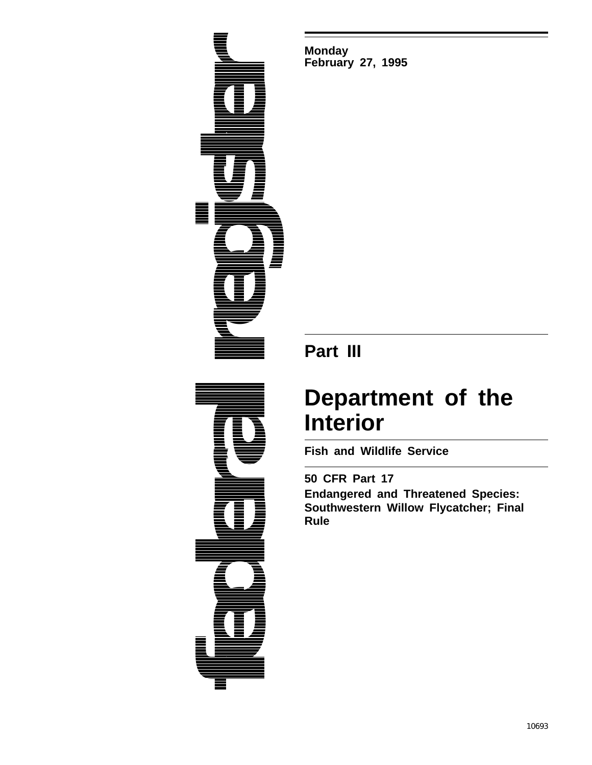**federal federal True Register Construction** 

**Monday February 27, 1995**

# **Part III**

# **Department of the Interior**

**Fish and Wildlife Service**

**50 CFR Part 17 Endangered and Threatened Species: Southwestern Willow Flycatcher; Final Rule**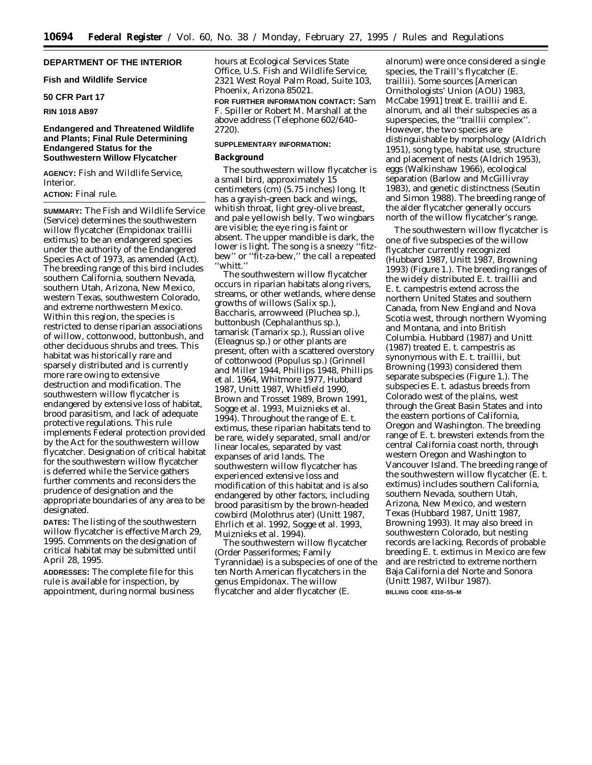#### **DEPARTMENT OF THE INTERIOR**

#### **Fish and Wildlife Service**

#### **50 CFR Part 17**

#### **RIN 1018 AB97**

#### **Endangered and Threatened Wildlife and Plants; Final Rule Determining Endangered Status for the Southwestern Willow Flycatcher**

**AGENCY:** Fish and Wildlife Service, Interior.

#### **ACTION:** Final rule.

**SUMMARY:** The Fish and Wildlife Service (Service) determines the southwestern willow flycatcher (*Empidonax traillii extimus*) to be an endangered species under the authority of the Endangered Species Act of 1973, as amended (Act). The breeding range of this bird includes southern California, southern Nevada, southern Utah, Arizona, New Mexico, western Texas, southwestern Colorado, and extreme northwestern Mexico. Within this region, the species is restricted to dense riparian associations of willow, cottonwood, buttonbush, and other deciduous shrubs and trees. This habitat was historically rare and sparsely distributed and is currently more rare owing to extensive destruction and modification. The southwestern willow flycatcher is endangered by extensive loss of habitat, brood parasitism, and lack of adequate protective regulations. This rule implements Federal protection provided by the Act for the southwestern willow flycatcher. Designation of critical habitat for the southwestern willow flycatcher is deferred while the Service gathers further comments and reconsiders the prudence of designation and the appropriate boundaries of any area to be designated.

**DATES:** The listing of the southwestern willow flycatcher is effective March 29, 1995. Comments on the designation of critical habitat may be submitted until April 28, 1995.

**ADDRESSES:** The complete file for this rule is available for inspection, by appointment, during normal business hours at Ecological Services State Office, U.S. Fish and Wildlife Service, 2321 West Royal Palm Road, Suite 103, Phoenix, Arizona 85021.

**FOR FURTHER INFORMATION CONTACT:** Sam F. Spiller or Robert M. Marshall at the above address (Telephone 602/640– 2720).

#### **SUPPLEMENTARY INFORMATION:**

#### **Background**

The southwestern willow flycatcher is a small bird, approximately 15 centimeters (cm) (5.75 inches) long. It has a grayish-green back and wings, whitish throat, light grey-olive breast, and pale yellowish belly. Two wingbars are visible; the eye ring is faint or absent. The upper mandible is dark, the lower is light. The song is a sneezy ''fitzbew'' or ''fit-za-bew,'' the call a repeated ''whitt.''

The southwestern willow flycatcher occurs in riparian habitats along rivers, streams, or other wetlands, where dense growths of willows (*Salix* sp.), *Baccharis*, arrowweed (*Pluchea* sp.), buttonbush (*Cephalanthus* sp.), tamarisk (*Tamarix* sp.), Russian olive (*Eleagnus* sp.) or other plants are present, often with a scattered overstory of cottonwood (*Populus* sp.) (Grinnell and Miller 1944, Phillips 1948, Phillips *et al*. 1964, Whitmore 1977, Hubbard 1987, Unitt 1987, Whitfield 1990, Brown and Trosset 1989, Brown 1991, Sogge *et al*. 1993, Muiznieks *et al*. 1994). Throughout the range of *E. t. extimus*, these riparian habitats tend to be rare, widely separated, small and/or linear locales, separated by vast expanses of arid lands. The southwestern willow flycatcher has experienced extensive loss and modification of this habitat and is also endangered by other factors, including brood parasitism by the brown-headed cowbird (*Molothrus ater*) (Unitt 1987, Ehrlich *et al.* 1992, Sogge *et al.* 1993, Muiznieks *et al.* 1994).

The southwestern willow flycatcher (Order Passeriformes; Family Tyrannidae) is a subspecies of one of the ten North American flycatchers in the genus *Empidonax*. The willow flycatcher and alder flycatcher (*E.*

*alnorum*) were once considered a single species, the Traill's flycatcher (*E. traillii*). Some sources [American Ornithologists' Union (AOU) 1983, McCabe 1991] treat *E. traillii* and *E. alnorum*, and all their subspecies as a superspecies, the ''*traillii* complex''. However, the two species are distinguishable by morphology (Aldrich 1951), song type, habitat use, structure and placement of nests (Aldrich 1953), eggs (Walkinshaw 1966), ecological separation (Barlow and McGillivray 1983), and genetic distinctness (Seutin and Simon 1988). The breeding range of the alder flycatcher generally occurs north of the willow flycatcher's range.

The southwestern willow flycatcher is one of five subspecies of the willow flycatcher currently recognized (Hubbard 1987, Unitt 1987, Browning 1993) (Figure 1.). The breeding ranges of the widely distributed *E. t. traillii* and *E. t. campestris* extend across the northern United States and southern Canada, from New England and Nova Scotia west, through northern Wyoming and Montana, and into British Columbia. Hubbard (1987) and Unitt (1987) treated *E. t. campestris* as synonymous with *E. t. traillii*, but Browning (1993) considered them separate subspecies (Figure 1.). The subspecies *E. t. adastus* breeds from Colorado west of the plains, west through the Great Basin States and into the eastern portions of California, Oregon and Washington. The breeding range of *E. t. brewsteri* extends from the central California coast north, through western Oregon and Washington to Vancouver Island. The breeding range of the southwestern willow flycatcher (*E. t. extimus*) includes southern California, southern Nevada, southern Utah, Arizona, New Mexico, and western Texas (Hubbard 1987, Unitt 1987, Browning 1993). It may also breed in southwestern Colorado, but nesting records are lacking. Records of probable breeding *E. t. extimus* in Mexico are few and are restricted to extreme northern Baja California del Norte and Sonora (Unitt 1987, Wilbur 1987).

**BILLING CODE 4310–55–M**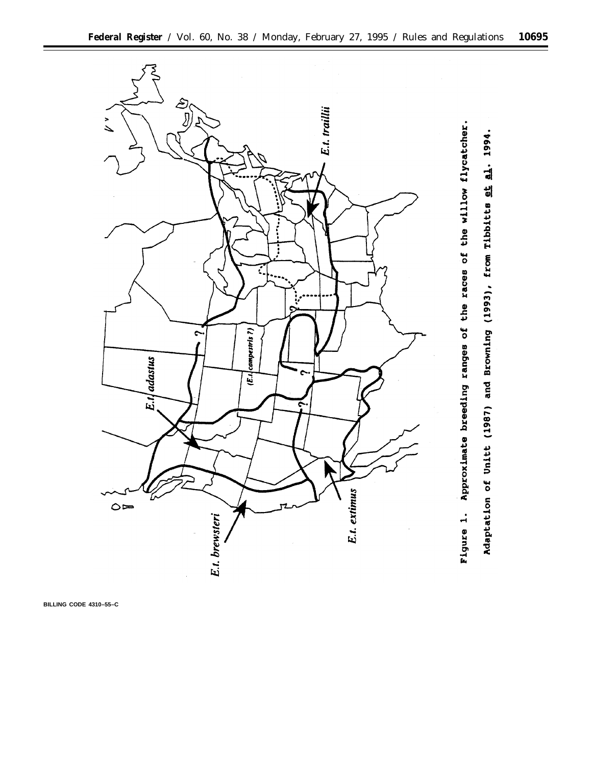

**BILLING CODE 4310–55–C**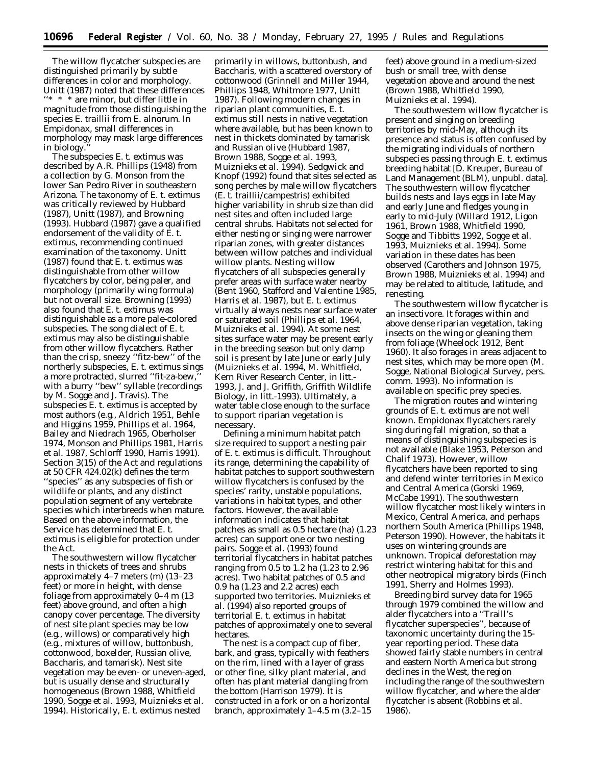The willow flycatcher subspecies are distinguished primarily by subtle differences in color and morphology. Unitt (1987) noted that these differences  $^\ast\,$   $^\ast$  are minor, but differ little in magnitude from those distinguishing the species *E. traillii* from *E. alnorum.* In *Empidonax*, small differences in morphology may mask large differences in biology.

The subspecies *E. t. extimus* was described by A.R. Phillips (1948) from a collection by G. Monson from the lower San Pedro River in southeastern Arizona. The taxonomy of *E. t. extimus* was critically reviewed by Hubbard (1987), Unitt (1987), and Browning (1993). Hubbard (1987) gave a qualified endorsement of the validity of *E. t. extimus*, recommending continued examination of the taxonomy. Unitt (1987) found that *E. t. extimus* was distinguishable from other willow flycatchers by color, being paler, and morphology (primarily wing formula) but not overall size. Browning (1993) also found that *E. t. extimus* was distinguishable as a more pale-colored subspecies. The song dialect of *E. t. extimus* may also be distinguishable from other willow flycatchers. Rather than the crisp, sneezy ''fitz-bew'' of the northerly subspecies, *E. t. extimus* sings a more protracted, slurred "fit-za-bew, with a burry "bew" syllable (recordings by M. Sogge and J. Travis). The subspecies *E. t. extimus* is accepted by most authors (*e.g.*, Aldrich 1951, Behle and Higgins 1959, Phillips *et al*. 1964, Bailey and Niedrach 1965, Oberholser 1974, Monson and Phillips 1981, Harris *et al*. 1987, Schlorff 1990, Harris 1991). Section 3(15) of the Act and regulations at 50 CFR 424.02(k) defines the term ''species'' as any subspecies of fish or wildlife or plants, and any distinct population segment of any vertebrate species which interbreeds when mature. Based on the above information, the Service has determined that *E. t. extimus* is eligible for protection under the Act.

The southwestern willow flycatcher nests in thickets of trees and shrubs approximately 4–7 meters (m) (13–23 feet) or more in height, with dense foliage from approximately 0–4 m (13 feet) above ground, and often a high canopy cover percentage. The diversity of nest site plant species may be low (*e.g.*, willows) or comparatively high (*e.g.*, mixtures of willow, buttonbush, cottonwood, boxelder, Russian olive, *Baccharis*, and tamarisk). Nest site vegetation may be even- or uneven-aged, but is usually dense and structurally homogeneous (Brown 1988, Whitfield 1990, Sogge *et al*. 1993, Muiznieks *et al*. 1994). Historically, *E. t. extimus* nested

primarily in willows, buttonbush, and *Baccharis*, with a scattered overstory of cottonwood (Grinnell and Miller 1944, Phillips 1948, Whitmore 1977, Unitt 1987). Following modern changes in riparian plant communities, *E. t. extimus* still nests in native vegetation where available, but has been known to nest in thickets dominated by tamarisk and Russian olive (Hubbard 1987, Brown 1988, Sogge *et al*. 1993, Muiznieks *et al*. 1994). Sedgwick and Knopf (1992) found that sites selected as song perches by male willow flycatchers (*E. t. traillii/campestris*) exhibited higher variability in shrub size than did nest sites and often included large central shrubs. Habitats not selected for either nesting or singing were narrower riparian zones, with greater distances between willow patches and individual willow plants. Nesting willow flycatchers of all subspecies generally prefer areas with surface water nearby (Bent 1960, Stafford and Valentine 1985, Harris *et al*. 1987), but *E. t. extimus* virtually always nests near surface water or saturated soil (Phillips *et al*. 1964, Muiznieks *et al*. 1994). At some nest sites surface water may be present early in the breeding season but only damp soil is present by late June or early July (Muiznieks *et al*. 1994, M. Whitfield, Kern River Research Center, *in litt.*- 1993, J. and J. Griffith, Griffith Wildlife Biology, *in litt.*-1993). Ultimately, a water table close enough to the surface to support riparian vegetation is necessary.

Defining a minimum habitat patch size required to support a nesting pair of *E. t. extimus* is difficult. Throughout its range, determining the capability of habitat patches to support southwestern willow flycatchers is confused by the species' rarity, unstable populations, variations in habitat types, and other factors. However, the available information indicates that habitat patches as small as 0.5 hectare (ha) (1.23 acres) can support one or two nesting pairs. Sogge *et al*. (1993) found territorial flycatchers in habitat patches ranging from 0.5 to 1.2 ha (1.23 to 2.96 acres). Two habitat patches of 0.5 and 0.9 ha (1.23 and 2.2 acres) each supported two territories. Muiznieks *et al*. (1994) also reported groups of territorial *E. t. extimus* in habitat patches of approximately one to several hectares.

The nest is a compact cup of fiber, bark, and grass, typically with feathers on the rim, lined with a layer of grass or other fine, silky plant material, and often has plant material dangling from the bottom (Harrison 1979). It is constructed in a fork or on a horizontal branch, approximately 1–4.5 m (3.2–15 feet) above ground in a medium-sized bush or small tree, with dense vegetation above and around the nest (Brown 1988, Whitfield 1990, Muiznieks *et al*. 1994).

The southwestern willow flycatcher is present and singing on breeding territories by mid-May, although its presence and status is often confused by the migrating individuals of northern subspecies passing through *E. t. extimus* breeding habitat [D. Kreuper, Bureau of Land Management (BLM), unpubl. data]. The southwestern willow flycatcher builds nests and lays eggs in late May and early June and fledges young in early to mid-July (Willard 1912, Ligon 1961, Brown 1988, Whitfield 1990, Sogge and Tibbitts 1992, Sogge *et al*. 1993, Muiznieks *et al*. 1994). Some variation in these dates has been observed (Carothers and Johnson 1975, Brown 1988, Muiznieks *et al*. 1994) and may be related to altitude, latitude, and renesting.

The southwestern willow flycatcher is an insectivore. It forages within and above dense riparian vegetation, taking insects on the wing or gleaning them from foliage (Wheelock 1912, Bent 1960). It also forages in areas adjacent to nest sites, which may be more open (M. Sogge, National Biological Survey, pers. comm. 1993). No information is available on specific prey species.

The migration routes and wintering grounds of *E. t. extimus* are not well known. *Empidonax* flycatchers rarely sing during fall migration, so that a means of distinguishing subspecies is not available (Blake 1953, Peterson and Chalif 1973). However, willow flycatchers have been reported to sing and defend winter territories in Mexico and Central America (Gorski 1969, McCabe 1991). The southwestern willow flycatcher most likely winters in Mexico, Central America, and perhaps northern South America (Phillips 1948, Peterson 1990). However, the habitats it uses on wintering grounds are unknown. Tropical deforestation may restrict wintering habitat for this and other neotropical migratory birds (Finch 1991, Sherry and Holmes 1993).

Breeding bird survey data for 1965 through 1979 combined the willow and alder flycatchers into a ''Traill's flycatcher superspecies'', because of taxonomic uncertainty during the 15 year reporting period. These data showed fairly stable numbers in central and eastern North America but strong declines in the West, the region including the range of the southwestern willow flycatcher, and where the alder flycatcher is absent (Robbins *et al*. 1986).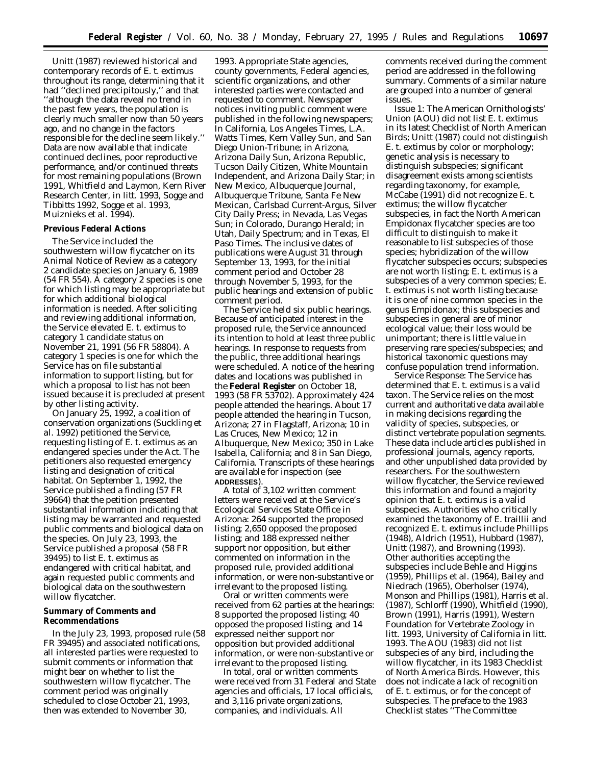Unitt (1987) reviewed historical and contemporary records of *E. t. extimus* throughout its range, determining that it had ''declined precipitously,'' and that ''although the data reveal no trend in the past few years, the population is clearly much smaller now than 50 years ago, and no change in the factors responsible for the decline seem likely.'' Data are now available that indicate continued declines, poor reproductive performance, and/or continued threats for most remaining populations (Brown 1991, Whitfield and Laymon, Kern River Research Center, *in litt.* 1993, Sogge and Tibbitts 1992, Sogge *et al*. 1993, Muiznieks *et al*. 1994).

#### **Previous Federal Actions**

The Service included the southwestern willow flycatcher on its Animal Notice of Review as a category 2 candidate species on January 6, 1989 (54 FR 554). A category 2 species is one for which listing may be appropriate but for which additional biological information is needed. After soliciting and reviewing additional information, the Service elevated *E. t. extimus* to category 1 candidate status on November 21, 1991 (56 FR 58804). A category 1 species is one for which the Service has on file substantial information to support listing, but for which a proposal to list has not been issued because it is precluded at present by other listing activity.

On January 25, 1992, a coalition of conservation organizations (Suckling *et al*. 1992) petitioned the Service, requesting listing of *E. t. extimus* as an endangered species under the Act. The petitioners also requested emergency listing and designation of critical habitat. On September 1, 1992, the Service published a finding (57 FR 39664) that the petition presented substantial information indicating that listing may be warranted and requested public comments and biological data on the species. On July 23, 1993, the Service published a proposal (58 FR 39495) to list *E. t. extimus* as endangered with critical habitat, and again requested public comments and biological data on the southwestern willow flycatcher.

#### **Summary of Comments and Recommendations**

In the July 23, 1993, proposed rule (58 FR 39495) and associated notifications, all interested parties were requested to submit comments or information that might bear on whether to list the southwestern willow flycatcher. The comment period was originally scheduled to close October 21, 1993, then was extended to November 30,

1993. Appropriate State agencies, county governments, Federal agencies, scientific organizations, and other interested parties were contacted and requested to comment. Newspaper notices inviting public comment were published in the following newspapers; In California, *Los Angeles Times, L.A. Watts Times, Kern Valley Sun,* and *San Diego Union-Tribune;* in Arizona, *Arizona Daily Sun, Arizona Republic, Tucson Daily Citizen, White Mountain Independent,* and *Arizona Daily Star;* in New Mexico, *Albuquerque Journal, Albuquerque Tribune, Santa Fe New Mexican, Carlsbad Current-Argus, Silver City Daily Press;* in Nevada, *Las Vegas Sun;* in Colorado, *Durango Herald;* in Utah, *Daily Spectrum;* and in Texas, *El Paso Times.* The inclusive dates of publications were August 31 through September 13, 1993, for the initial comment period and October 28 through November 5, 1993, for the public hearings and extension of public comment period.

The Service held six public hearings. Because of anticipated interest in the proposed rule, the Service announced its intention to hold at least three public hearings. In response to requests from the public, three additional hearings were scheduled. A notice of the hearing dates and locations was published in the **Federal Register** on October 18, 1993 (58 FR 53702). Approximately 424 people attended the hearings. About 17 people attended the hearing in Tucson, Arizona; 27 in Flagstaff, Arizona; 10 in Las Cruces, New Mexico; 12 in Albuquerque, New Mexico; 350 in Lake Isabella, California; and 8 in San Diego, California. Transcripts of these hearings are available for inspection (see **ADDRESSES**).

A total of 3,102 written comment letters were received at the Service's Ecological Services State Office in Arizona: 264 supported the proposed listing; 2,650 opposed the proposed listing; and 188 expressed neither support nor opposition, but either commented on information in the proposed rule, provided additional information, or were non-substantive or irrelevant to the proposed listing.

Oral or written comments were received from 62 parties at the hearings: 8 supported the proposed listing; 40 opposed the proposed listing; and 14 expressed neither support nor opposition but provided additional information, or were non-substantive or irrelevant to the proposed listing.

In total, oral or written comments were received from 31 Federal and State agencies and officials, 17 local officials, and 3,116 private organizations, companies, and individuals. All

comments received during the comment period are addressed in the following summary. Comments of a similar nature are grouped into a number of general issues.

*Issue 1:* The American Ornithologists' Union (AOU) did not list *E. t. extimus* in its latest Checklist of North American Birds; Unitt (1987) could not distinguish *E. t. extimus* by color or morphology; genetic analysis is necessary to distinguish subspecies; significant disagreement exists among scientists regarding taxonomy, for example, McCabe (1991) did not recognize *E. t. extimus;* the willow flycatcher subspecies, in fact the North American *Empidonax* flycatcher species are too difficult to distinguish to make it reasonable to list subspecies of those species; hybridization of the willow flycatcher subspecies occurs; subspecies are not worth listing; *E. t. extimus* is a subspecies of a very common species; *E. t. extimus* is not worth listing because it is one of nine common species in the genus *Empidonax;* this subspecies and subspecies in general are of minor ecological value; their loss would be unimportant; there is little value in preserving rare species/subspecies; and historical taxonomic questions may confuse population trend information.

*Service Response:* The Service has determined that *E. t. extimus* is a valid taxon. The Service relies on the most current and authoritative data available in making decisions regarding the validity of species, subspecies, or distinct vertebrate population segments. These data include articles published in professional journals, agency reports, and other unpublished data provided by researchers. For the southwestern willow flycatcher, the Service reviewed this information and found a majority opinion that *E. t. extimus* is a valid subspecies. Authorities who critically examined the taxonomy of *E. traillii* and recognized *E. t. extimus* include Phillips (1948), Aldrich (1951), Hubbard (1987), Unitt (1987), and Browning (1993). Other authorities accepting the subspecies include Behle and Higgins (1959), Phillips *et al.* (1964), Bailey and Niedrach (1965), Oberholser (1974), Monson and Phillips (1981), Harris *et al.* (1987), Schlorff (1990), Whitfield (1990), Brown (1991), Harris (1991), Western Foundation for Vertebrate Zoology *in litt.* 1993, University of California *in litt.* 1993. The AOU (1983) did not list subspecies of any bird, including the willow flycatcher, in its 1983 Checklist of North America Birds. However, this does not indicate a lack of recognition of *E. t. extimus,* or for the concept of subspecies. The preface to the 1983 Checklist states ''The Committee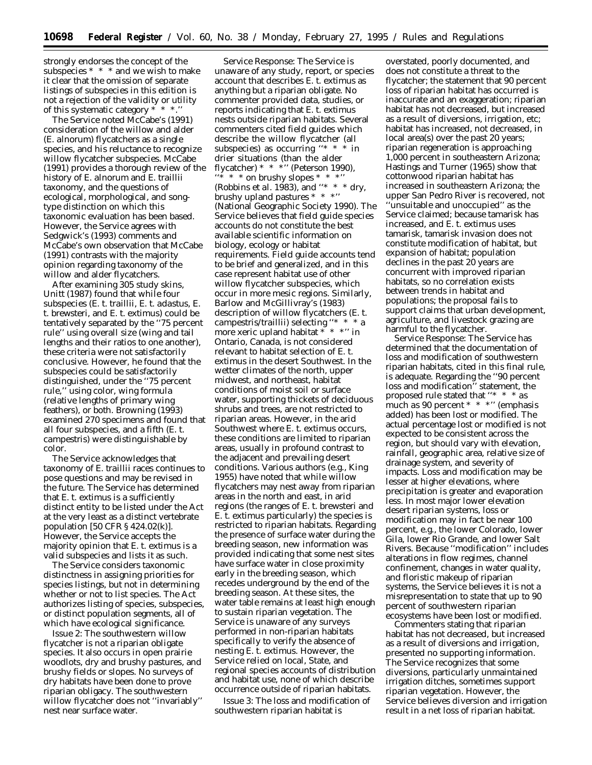strongly endorses the concept of the subspecies \* \* \* and we wish to make it clear that the omission of separate listings of subspecies in this edition is not a rejection of the validity or utility of this systematic category \* \* \*.''

The Service noted McCabe's (1991) consideration of the willow and alder (*E. alnorum*) flycatchers as a single species, and his reluctance to recognize willow flycatcher subspecies. McCabe (1991) provides a thorough review of the history of *E. alnorum* and *E. traillii* taxonomy, and the questions of ecological, morphological, and songtype distinction on which this taxonomic evaluation has been based. However, the Service agrees with Sedgwick's (1993) comments and McCabe's own observation that McCabe (1991) contrasts with the majority opinion regarding taxonomy of the willow and alder flycatchers.

After examining 305 study skins, Unitt (1987) found that while four subspecies (*E. t. traillii, E. t. adastus, E. t. brewsteri,* and *E. t. extimus*) could be tentatively separated by the ''75 percent rule'' using overall size (wing and tail lengths and their ratios to one another), these criteria were not satisfactorily conclusive. However, he found that the subspecies could be satisfactorily distinguished, under the ''75 percent rule,'' using color, wing formula (relative lengths of primary wing feathers), or both. Browning (1993) examined 270 specimens and found that all four subspecies, and a fifth (*E. t. campestris*) were distinguishable by color.

The Service acknowledges that taxonomy of *E. traillii* races continues to pose questions and may be revised in the future. The Service has determined that *E. t. extimus* is a sufficiently distinct entity to be listed under the Act at the very least as a distinct vertebrate population [50 CFR § 424.02(k)]. However, the Service accepts the majority opinion that *E. t. extimus* is a valid subspecies and lists it as such.

The Service considers taxonomic distinctness in assigning priorities for species listings, but not in determining whether or not to list species. The Act authorizes listing of species, subspecies, or distinct population segments, all of which have ecological significance.

*Issue 2:* The southwestern willow flycatcher is not a riparian obligate species. It also occurs in open prairie woodlots, dry and brushy pastures, and brushy fields or slopes. No surveys of dry habitats have been done to prove riparian obligacy. The southwestern willow flycatcher does not ''invariably'' nest near surface water.

*Service Response:* The Service is unaware of any study, report, or species account that describes *E. t. extimus* as anything but a riparian obligate. No commenter provided data, studies, or reports indicating that *E. t. extimus* nests outside riparian habitats. Several commenters cited field guides which describe the willow flycatcher (all subspecies) as occurring ''\* \* \* in drier situations (than the alder flycatcher)  $* * "$  (Peterson 1990),  $\cdot\cdot\cdot$  \* \* on brushy slopes \* \* \*'' (Robbins *et al.* 1983), and "\* \* \* dry, brushy upland pastures \* \* \*'' (National Geographic Society 1990). The Service believes that field guide species accounts do not constitute the best available scientific information on biology, ecology or habitat requirements. Field guide accounts tend to be brief and generalized, and in this case represent habitat use of other willow flycatcher subspecies, which occur in more mesic regions. Similarly, Barlow and McGillivray's (1983) description of willow flycatchers *(E. t. campestris/traillii)* selecting ''\* \* \* a more xeric upland habitat \* \* \*'' in Ontario, Canada, is not considered relevant to habitat selection of *E. t. extimus* in the desert Southwest. In the wetter climates of the north, upper midwest, and northeast, habitat conditions of moist soil or surface water, supporting thickets of deciduous shrubs and trees, are not restricted to riparian areas. However, in the arid Southwest where *E. t. extimus* occurs, these conditions are limited to riparian areas, usually in profound contrast to the adjacent and prevailing desert conditions. Various authors (*e.g.,* King 1955) have noted that while willow flycatchers may nest away from riparian areas in the north and east, in arid regions (the ranges of *E. t. brewsteri* and *E. t. extimus* particularly) the species is restricted to riparian habitats. Regarding the presence of surface water during the breeding season, new information was provided indicating that some nest sites have surface water in close proximity early in the breeding season, which recedes underground by the end of the breeding season. At these sites, the water table remains at least high enough to sustain riparian vegetation. The Service is unaware of any surveys performed in non-riparian habitats specifically to verify the absence of nesting *E. t. extimus*. However, the Service relied on local, State, and regional species accounts of distribution and habitat use, none of which describe occurrence outside of riparian habitats.

*Issue 3:* The loss and modification of southwestern riparian habitat is

overstated, poorly documented, and does not constitute a threat to the flycatcher; the statement that 90 percent loss of riparian habitat has occurred is inaccurate and an exaggeration; riparian habitat has not decreased, but increased as a result of diversions, irrigation, etc; habitat has increased, not decreased, in local area(s) over the past 20 years; riparian regeneration is approaching 1,000 percent in southeastern Arizona; Hastings and Turner (1965) show that cottonwood riparian habitat has increased in southeastern Arizona; the upper San Pedro River is recovered, not ''unsuitable and unoccupied'' as the Service claimed; because tamarisk has increased, and *E. t. extimus* uses tamarisk, tamarisk invasion does not constitute modification of habitat, but expansion of habitat; population declines in the past 20 years are concurrent with improved riparian habitats, so no correlation exists between trends in habitat and populations; the proposal fails to support claims that urban development, agriculture, and livestock grazing are harmful to the flycatcher.

*Service Response:* The Service has determined that the documentation of loss and modification of southwestern riparian habitats, cited in this final rule, is adequate. Regarding the ''90 percent loss and modification'' statement, the proposed rule stated that ''\* \* \* *as much as* 90 percent \* \* \*'' (emphasis added) has been lost or modified. The actual percentage lost or modified is not expected to be consistent across the region, but should vary with elevation, rainfall, geographic area, relative size of drainage system, and severity of impacts. Loss and modification may be lesser at higher elevations, where precipitation is greater and evaporation less. In most major lower elevation desert riparian systems, loss or modification may in fact be near 100 percent, *e.g.,* the lower Colorado, lower Gila, lower Rio Grande, and lower Salt Rivers. Because ''modification'' includes alterations in flow regimes, channel confinement, changes in water quality, and floristic makeup of riparian systems, the Service believes it is not a misrepresentation to state that up to 90 percent of southwestern riparian ecosystems have been lost or modified.

Commenters stating that riparian habitat has not decreased, but increased as a result of diversions and irrigation, presented no supporting information. The Service recognizes that some diversions, particularly unmaintained irrigation ditches, sometimes support riparian vegetation. However, the Service believes diversion and irrigation result in a net loss of riparian habitat.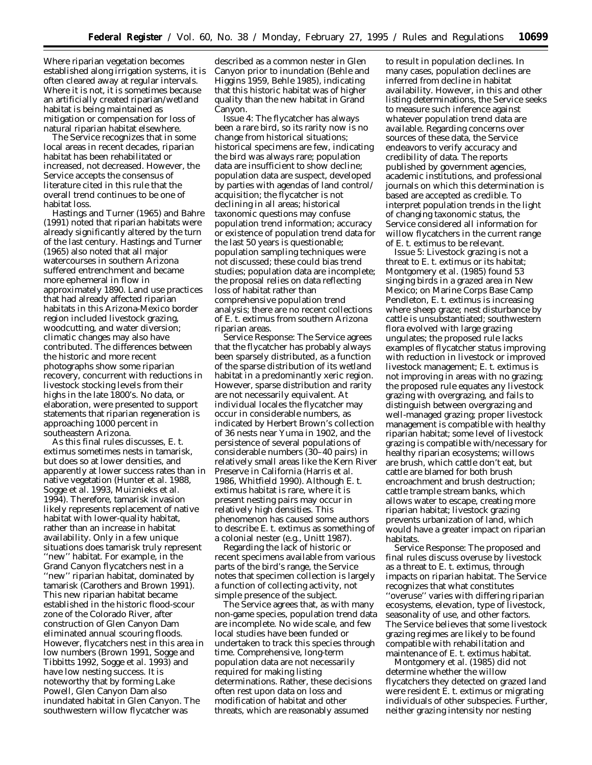Where riparian vegetation becomes established along irrigation systems, it is often cleared away at regular intervals. Where it is not, it is sometimes because an artificially created riparian/wetland habitat is being maintained as mitigation or compensation for loss of natural riparian habitat elsewhere.

The Service recognizes that in some local areas in recent decades, riparian habitat has been rehabilitated or increased, not decreased. However, the Service accepts the consensus of literature cited in this rule that the overall trend continues to be one of habitat loss.

Hastings and Turner (1965) and Bahre (1991) noted that riparian habitats were already significantly altered by the turn of the last century. Hastings and Turner (1965) also noted that all major watercourses in southern Arizona suffered entrenchment and became more ephemeral in flow in approximately 1890. Land use practices that had already affected riparian habitats in this Arizona-Mexico border region included livestock grazing, woodcutting, and water diversion; climatic changes may also have contributed. The differences between the historic and more recent photographs show some riparian recovery, concurrent with reductions in livestock stocking levels from their highs in the late 1800's. No data, or elaboration, were presented to support statements that riparian regeneration is approaching 1000 percent in southeastern Arizona.

As this final rules discusses, *E. t. extimus* sometimes nests in tamarisk, but does so at lower densities, and apparently at lower success rates than in native vegetation (Hunter *et al.* 1988, Sogge *et al.* 1993, Muiznieks *et al.* 1994). Therefore, tamarisk invasion likely represents replacement of native habitat with lower-quality habitat, rather than an increase in habitat availability. Only in a few unique situations does tamarisk truly represent ''new'' habitat. For example, in the Grand Canyon flycatchers nest in a ''new'' riparian habitat, dominated by tamarisk (Carothers and Brown 1991). This new riparian habitat became established in the historic flood-scour zone of the Colorado River, after construction of Glen Canyon Dam eliminated annual scouring floods. However, flycatchers nest in this area in low numbers (Brown 1991, Sogge and Tibbitts 1992, Sogge *et al.* 1993) and have low nesting success. It is noteworthy that by forming Lake Powell, Glen Canyon Dam also inundated habitat in Glen Canyon. The southwestern willow flycatcher was

described as a common nester in Glen Canyon prior to inundation (Behle and Higgins 1959, Behle 1985), indicating that this historic habitat was of higher quality than the new habitat in Grand Canyon.

*Issue 4:* The flycatcher has always been a rare bird, so its rarity now is no change from historical situations; historical specimens are few, indicating the bird was always rare; population data are insufficient to show decline; population data are suspect, developed by parties with agendas of land control/ acquisition; the flycatcher is not declining in all areas; historical taxonomic questions may confuse population trend information; accuracy or existence of population trend data for the last 50 years is questionable; population sampling techniques were not discussed; these could bias trend studies; population data are incomplete; the proposal relies on data reflecting loss of habitat rather than comprehensive population trend analysis; there are no recent collections of *E. t. extimus* from southern Arizona riparian areas.

*Service Response:* The Service agrees that the flycatcher has probably always been sparsely distributed, as a function of the sparse distribution of its wetland habitat in a predominantly xeric region. However, sparse distribution and rarity are not necessarily equivalent. At individual locales the flycatcher may occur in considerable numbers, as indicated by Herbert Brown's collection of 36 nests near Yuma in 1902, and the persistence of several populations of considerable numbers (30–40 pairs) in relatively small areas like the Kern River Preserve in California (Harris *et al.* 1986, Whitfield 1990). Although *E. t. extimus* habitat is rare, where it is present nesting pairs may occur in relatively high densities. This phenomenon has caused some authors to describe *E. t. extimus* as something of a colonial nester (*e.g.,* Unitt 1987).

Regarding the lack of historic or recent specimens available from various parts of the bird's range, the Service notes that specimen collection is largely a function of collecting activity, not simple presence of the subject.

The Service agrees that, as with many non-game species, population trend data are incomplete. No wide scale, and few local studies have been funded or undertaken to track this species through time. Comprehensive, long-term population data are not necessarily required for making listing determinations. Rather, these decisions often rest upon data on loss and modification of habitat and other threats, which are reasonably assumed

to result in population declines. In many cases, population declines are inferred from decline in habitat availability. However, in this and other listing determinations, the Service seeks to measure such inference against whatever population trend data are available. Regarding concerns over sources of these data, the Service endeavors to verify accuracy and credibility of data. The reports published by government agencies, academic institutions, and professional journals on which this determination is based are accepted as credible. To interpret population trends in the light of changing taxonomic status, the Service considered all information for willow flycatchers in the current range of *E. t. extimus* to be relevant.

*Issue 5:* Livestock grazing is not a threat to *E. t. extimus* or its habitat; Montgomery *et al.* (1985) found 53 singing birds in a grazed area in New Mexico; on Marine Corps Base Camp Pendleton, *E. t. extimus* is increasing where sheep graze; nest disturbance by cattle is unsubstantiated; southwestern flora evolved with large grazing ungulates; the proposed rule lacks examples of flycatcher status improving with reduction in livestock or improved livestock management; *E. t. extimus* is not improving in areas with no grazing; the proposed rule equates any livestock grazing with overgrazing, and fails to distinguish between overgrazing and well-managed grazing; proper livestock management is compatible with healthy riparian habitat; some level of livestock grazing is compatible with/necessary for healthy riparian ecosystems; willows are brush, which cattle don't eat, but cattle are blamed for both brush encroachment and brush destruction; cattle trample stream banks, which allows water to escape, creating more riparian habitat; livestock grazing prevents urbanization of land, which would have a greater impact on riparian habitats.

*Service Response:* The proposed and final rules discuss overuse by livestock as a threat to *E. t. extimus*, through impacts on riparian habitat. The Service recognizes that what constitutes ''overuse'' varies with differing riparian ecosystems, elevation, type of livestock, seasonality of use, and other factors. The Service believes that some livestock grazing regimes are likely to be found compatible with rehabilitation and maintenance of *E. t. extimus* habitat.

Montgomery *et al*. (1985) did not determine whether the willow flycatchers they detected on grazed land were resident *E. t. extimus* or migrating individuals of other subspecies. Further, neither grazing intensity nor nesting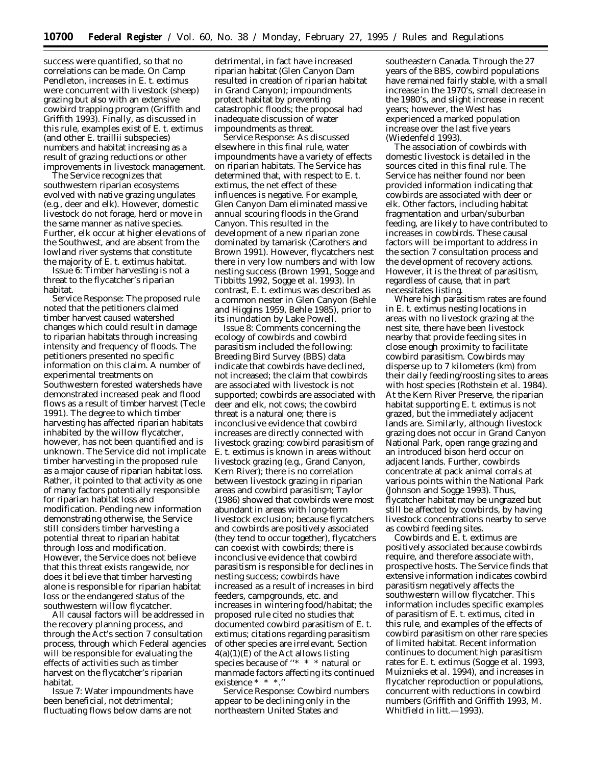success were quantified, so that no correlations can be made. On Camp Pendleton, increases in *E. t. extimus* were concurrent with livestock (sheep) grazing but also with an extensive cowbird trapping program (Griffith and Griffith 1993). Finally, as discussed in this rule, examples exist of *E. t. extimus* (and other *E. traillii* subspecies) numbers and habitat increasing as a result of grazing reductions or other improvements in livestock management.

The Service recognizes that southwestern riparian ecosystems evolved with native grazing ungulates (*e.g.*, deer and elk). However, domestic livestock do not forage, herd or move in the same manner as native species. Further, elk occur at higher elevations of the Southwest, and are absent from the lowland river systems that constitute the majority of *E. t. extimus* habitat.

*Issue 6:* Timber harvesting is not a threat to the flycatcher's riparian habitat.

*Service Response:* The proposed rule noted that the petitioners claimed timber harvest caused watershed changes which could result in damage to riparian habitats through increasing intensity and frequency of floods. The petitioners presented no specific information on this claim. A number of experimental treatments on Southwestern forested watersheds have demonstrated increased peak and flood flows as a result of timber harvest (Tecle 1991). The degree to which timber harvesting has affected riparian habitats inhabited by the willow flycatcher, however, has not been quantified and is unknown. The Service did not implicate timber harvesting in the proposed rule as a major cause of riparian habitat loss. Rather, it pointed to that activity as one of many factors potentially responsible for riparian habitat loss and modification. Pending new information demonstrating otherwise, the Service still considers timber harvesting a potential threat to riparian habitat through loss and modification. However, the Service does not believe that this threat exists rangewide, nor does it believe that timber harvesting alone is responsible for riparian habitat loss or the endangered status of the southwestern willow flycatcher.

All causal factors will be addressed in the recovery planning process, and through the Act's section 7 consultation process, through which Federal agencies will be responsible for evaluating the effects of activities such as timber harvest on the flycatcher's riparian habitat.

*Issue 7:* Water impoundments have been beneficial, not detrimental; fluctuating flows below dams are not

detrimental, in fact have increased riparian habitat (Glen Canyon Dam resulted in creation of riparian habitat in Grand Canyon); impoundments protect habitat by preventing catastrophic floods; the proposal had inadequate discussion of water impoundments as threat.

*Service Response:* As discussed elsewhere in this final rule, water impoundments have a variety of effects on riparian habitats. The Service has determined that, with respect to *E. t. extimus,* the net effect of these influences is negative. For example, Glen Canyon Dam eliminated massive annual scouring floods in the Grand Canyon. This resulted in the development of a new riparian zone dominated by tamarisk (Carothers and Brown 1991). However, flycatchers nest there in very low numbers and with low nesting success (Brown 1991, Sogge and Tibbitts 1992, Sogge *et al*. 1993). In contrast, *E. t. extimus* was described as a common nester in Glen Canyon (Behle and Higgins 1959, Behle 1985), prior to its inundation by Lake Powell.

*Issue 8:* Comments concerning the ecology of cowbirds and cowbird parasitism included the following: Breeding Bird Survey (BBS) data indicate that cowbirds have declined, not increased; the claim that cowbirds are associated with livestock is not supported; cowbirds are associated with deer and elk, not cows; the cowbird threat is a natural one; there is inconclusive evidence that cowbird increases are directly connected with livestock grazing; cowbird parasitism of *E. t. extimus* is known in areas without livestock grazing (*e.g*., Grand Canyon, Kern River); there is no correlation between livestock grazing in riparian areas and cowbird parasitism; Taylor (1986) showed that cowbirds were most abundant in areas with long-term livestock exclusion; because flycatchers and cowbirds are positively associated (they tend to occur together), flycatchers can coexist with cowbirds; there is inconclusive evidence that cowbird parasitism is responsible for declines in nesting success; cowbirds have increased as a result of increases in bird feeders, campgrounds, etc. and increases in wintering food/habitat; the proposed rule cited no studies that documented cowbird parasitism of *E. t. extimus;* citations regarding parasitism of other species are irrelevant. Section  $4(a)(1)(E)$  of the Act allows listing species because of "\* \* \* natural or manmade factors affecting its continued existence \* \* \*.''

*Service Response:* Cowbird numbers appear to be declining only in the northeastern United States and

southeastern Canada. Through the 27 years of the BBS, cowbird populations have remained fairly stable, with a small increase in the 1970's, small decrease in the 1980's, and slight increase in recent years; however, the West has experienced a marked population increase over the last five years (Wiedenfeld 1993).

The association of cowbirds with domestic livestock is detailed in the sources cited in this final rule. The Service has neither found nor been provided information indicating that cowbirds are associated with deer or elk. Other factors, including habitat fragmentation and urban/suburban feeding, are likely to have contributed to increases in cowbirds. These causal factors will be important to address in the section 7 consultation process and the development of recovery actions. However, it is the threat of parasitism, regardless of cause, that in part necessitates listing.

Where high parasitism rates are found in *E. t. extimus* nesting locations in areas with no livestock grazing at the nest site, there have been livestock nearby that provide feeding sites in close enough proximity to facilitate cowbird parasitism. Cowbirds may disperse up to 7 kilometers (km) from their daily feeding/roosting sites to areas with host species (Rothstein *et al*. 1984). At the Kern River Preserve, the riparian habitat supporting *E. t. extimus* is not grazed, but the immediately adjacent lands are. Similarly, although livestock grazing does not occur in Grand Canyon National Park, open range grazing and an introduced bison herd occur on adjacent lands. Further, cowbirds concentrate at pack animal corrals at various points within the National Park (Johnson and Sogge 1993). Thus, flycatcher habitat may be ungrazed but still be affected by cowbirds, by having livestock concentrations nearby to serve as cowbird feeding sites.

Cowbirds and *E. t. extimus* are positively associated because cowbirds require, and therefore associate with, prospective hosts. The Service finds that extensive information indicates cowbird parasitism negatively affects the southwestern willow flycatcher. This information includes specific examples of parasitism of *E. t. extimus,* cited in this rule, and examples of the effects of cowbird parasitism on other rare species of limited habitat. Recent information continues to document high parasitism rates for *E. t. extimus* (Sogge *et al.* 1993, Muiznieks *et al.* 1994), and increases in flycatcher reproduction or populations, concurrent with reductions in cowbird numbers (Griffith and Griffith 1993, M. Whitfield *in litt*.—1993).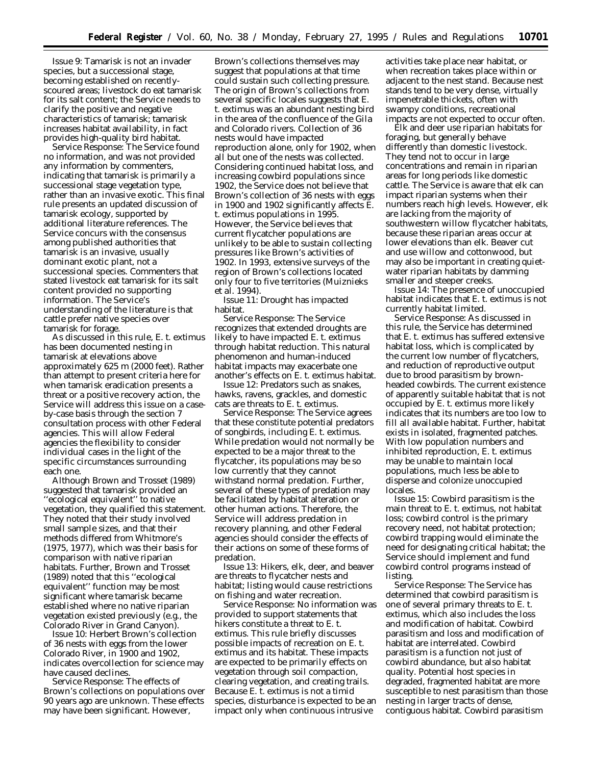*Issue 9:* Tamarisk is not an invader species, but a successional stage, becoming established on recentlyscoured areas; livestock do eat tamarisk for its salt content; the Service needs to clarify the positive and negative characteristics of tamarisk; tamarisk increases habitat availability, in fact provides high-quality bird habitat.

*Service Response:* The Service found no information, and was not provided any information by commenters, indicating that tamarisk is primarily a successional stage vegetation type, rather than an invasive exotic. This final rule presents an updated discussion of tamarisk ecology, supported by additional literature references. The Service concurs with the consensus among published authorities that tamarisk is an invasive, usually dominant exotic plant, not a successional species. Commenters that stated livestock eat tamarisk for its salt content provided no supporting information. The Service's understanding of the literature is that cattle prefer native species over tamarisk for forage.

As discussed in this rule, *E. t. extimus* has been documented nesting in tamarisk at elevations above approximately 625 m (2000 feet). Rather than attempt to present criteria here for when tamarisk eradication presents a threat or a positive recovery action, the Service will address this issue on a caseby-case basis through the section 7 consultation process with other Federal agencies. This will allow Federal agencies the flexibility to consider individual cases in the light of the specific circumstances surrounding each one.

Although Brown and Trosset (1989) suggested that tamarisk provided an 'ecological equivalent'' to native vegetation, they qualified this statement. They noted that their study involved small sample sizes, and that their methods differed from Whitmore's (1975, 1977), which was their basis for comparison with native riparian habitats. Further, Brown and Trosset (1989) noted that this ''ecological equivalent'' function may be most significant where tamarisk became established where no native riparian vegetation existed previously (*e.g.*, the Colorado River in Grand Canyon).

*Issue 10:* Herbert Brown's collection of 36 nests with eggs from the lower Colorado River, in 1900 and 1902, indicates overcollection for science may have caused declines.

*Service Response:* The effects of Brown's collections on populations over 90 years ago are unknown. These effects may have been significant. However,

Brown's collections themselves may suggest that populations at that time could sustain such collecting pressure. The origin of Brown's collections from several specific locales suggests that *E. t. extimus* was an abundant nesting bird in the area of the confluence of the Gila and Colorado rivers. Collection of 36 nests would have impacted reproduction alone, only for 1902, when all but one of the nests was collected. Considering continued habitat loss, and increasing cowbird populations since 1902, the Service does not believe that Brown's collection of 36 nests with eggs in 1900 and 1902 significantly affects *E. t. extimus* populations in 1995. However, the Service believes that current flycatcher populations are unlikely to be able to sustain collecting pressures like Brown's activities of 1902. In 1993, extensive surveys of the region of Brown's collections located only four to five territories (Muiznieks *et al.* 1994).

*Issue 11:* Drought has impacted habitat.

*Service Response:* The Service recognizes that extended droughts are likely to have impacted *E. t. extimus* through habitat reduction. This natural phenomenon and human-induced habitat impacts may exacerbate one another's effects on *E. t. extimus* habitat.

*Issue 12:* Predators such as snakes, hawks, ravens, grackles, and domestic cats are threats to *E. t. extimus*.

*Service Response:* The Service agrees that these constitute potential predators of songbirds, including *E. t. extimus*. While predation would not normally be expected to be a major threat to the flycatcher, its populations may be so low currently that they cannot withstand normal predation. Further, several of these types of predation may be facilitated by habitat alteration or other human actions. Therefore, the Service will address predation in recovery planning, and other Federal agencies should consider the effects of their actions on some of these forms of predation.

*Issue 13:* Hikers, elk, deer, and beaver are threats to flycatcher nests and habitat; listing would cause restrictions on fishing and water recreation.

*Service Response:* No information was provided to support statements that hikers constitute a threat to *E. t. extimus*. This rule briefly discusses possible impacts of recreation on *E. t. extimus* and its habitat. These impacts are expected to be primarily effects on vegetation through soil compaction, clearing vegetation, and creating trails. Because *E. t. extimus* is not a timid species, disturbance is expected to be an impact only when continuous intrusive

activities take place near habitat, or when recreation takes place within or adjacent to the nest stand. Because nest stands tend to be very dense, virtually impenetrable thickets, often with swampy conditions, recreational impacts are not expected to occur often.

Elk and deer use riparian habitats for foraging, but generally behave differently than domestic livestock. They tend not to occur in large concentrations and remain in riparian areas for long periods like domestic cattle. The Service is aware that elk can impact riparian systems when their numbers reach high levels. However, elk are lacking from the majority of southwestern willow flycatcher habitats, because these riparian areas occur at lower elevations than elk. Beaver cut and use willow and cottonwood, but may also be important in creating quietwater riparian habitats by damming smaller and steeper creeks.

*Issue 14:* The presence of unoccupied habitat indicates that *E. t. extimus* is not currently habitat limited.

*Service Response:* As discussed in this rule, the Service has determined that *E. t. extimus* has suffered extensive habitat loss, which is complicated by the current low number of flycatchers, and reduction of reproductive output due to brood parasitism by brownheaded cowbirds. The current existence of apparently suitable habitat that is not occupied by *E. t. extimus* more likely indicates that its numbers are too low to fill all available habitat. Further, habitat exists in isolated, fragmented patches. With low population numbers and inhibited reproduction, *E. t. extimus* may be unable to maintain local populations, much less be able to disperse and colonize unoccupied locales.

*Issue 15:* Cowbird parasitism is the main threat to *E. t. extimus*, not habitat loss; cowbird control is the primary recovery need, not habitat protection; cowbird trapping would eliminate the need for designating critical habitat; the Service should implement and fund cowbird control programs instead of listing.

*Service Response:* The Service has determined that cowbird parasitism is one of several primary threats to *E. t. extimus*, which also includes the loss and modification of habitat. Cowbird parasitism and loss and modification of habitat are interrelated. Cowbird parasitism is a function not just of cowbird abundance, but also habitat quality. Potential host species in degraded, fragmented habitat are more susceptible to nest parasitism than those nesting in larger tracts of dense, contiguous habitat. Cowbird parasitism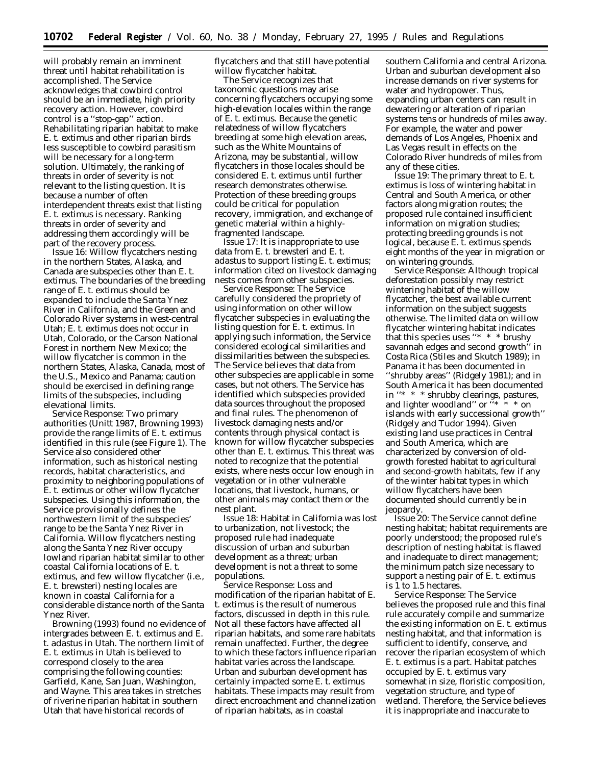will probably remain an imminent threat until habitat rehabilitation is accomplished. The Service acknowledges that cowbird control should be an immediate, high priority recovery action. However, cowbird control is a ''stop-gap'' action. Rehabilitating riparian habitat to make *E. t. extimus* and other riparian birds less susceptible to cowbird parasitism will be necessary for a long-term solution. Ultimately, the ranking of threats in order of severity is not relevant to the listing question. It is because a number of often interdependent threats exist that listing *E. t. extimus* is necessary. Ranking threats in order of severity and addressing them accordingly will be part of the recovery process.

*Issue 16:* Willow flycatchers nesting in the northern States, Alaska, and Canada are subspecies other than *E. t. extimus*. The boundaries of the breeding range of *E. t. extimus* should be expanded to include the Santa Ynez River in California, and the Green and Colorado River systems in west-central Utah; *E. t. extimus* does not occur in Utah, Colorado, or the Carson National Forest in northern New Mexico; the willow flycatcher is common in the northern States, Alaska, Canada, most of the U.S., Mexico and Panama; caution should be exercised in defining range limits of the subspecies, including elevational limits.

*Service Response:* Two primary authorities (Unitt 1987, Browning 1993) provide the range limits of *E. t. extimus* identified in this rule (see Figure 1). The Service also considered other information, such as historical nesting records, habitat characteristics, and proximity to neighboring populations of *E. t. extimus* or other willow flycatcher subspecies. Using this information, the Service provisionally defines the northwestern limit of the subspecies' range to be the Santa Ynez River in California. Willow flycatchers nesting along the Santa Ynez River occupy lowland riparian habitat similar to other coastal California locations of *E. t. extimus*, and few willow flycatcher (i.e., *E. t. brewsteri*) nesting locales are known in coastal California for a considerable distance north of the Santa Ynez River.

Browning (1993) found no evidence of intergrades between *E. t. extimus* and *E. t. adastus* in Utah. The northern limit of *E. t. extimus* in Utah is believed to correspond closely to the area comprising the following counties: Garfield, Kane, San Juan, Washington, and Wayne. This area takes in stretches of riverine riparian habitat in southern Utah that have historical records of

flycatchers and that still have potential willow flycatcher habitat.

The Service recognizes that taxonomic questions may arise concerning flycatchers occupying some high-elevation locales within the range of *E. t. extimus*. Because the genetic relatedness of willow flycatchers breeding at some high elevation areas, such as the White Mountains of Arizona, may be substantial, willow flycatchers in those locales should be considered *E. t. extimus* until further research demonstrates otherwise. Protection of these breeding groups could be critical for population recovery, immigration, and exchange of genetic material within a highlyfragmented landscape.

*Issue 17:* It is inappropriate to use data from *E. t. brewsteri* and *E. t. adastus* to support listing *E. t. extimus;* information cited on livestock damaging nests comes from other subspecies.

*Service Response:* The Service carefully considered the propriety of using information on other willow flycatcher subspecies in evaluating the listing question for *E. t. extimus*. In applying such information, the Service considered ecological similarities and dissimilarities between the subspecies. The Service believes that data from other subspecies are applicable in some cases, but not others. The Service has identified which subspecies provided data sources throughout the proposed and final rules. The phenomenon of livestock damaging nests and/or contents through physical contact is known for willow flycatcher subspecies other than *E. t. extimus*. This threat was noted to recognize that the potential exists, where nests occur low enough in vegetation or in other vulnerable locations, that livestock, humans, or other animals may contact them or the nest plant.

*Issue 18:* Habitat in California was lost to urbanization, not livestock; the proposed rule had inadequate discussion of urban and suburban development as a threat; urban development is not a threat to some populations.

*Service Response:* Loss and modification of the riparian habitat of *E. t. extimus* is the result of numerous factors, discussed in depth in this rule. Not all these factors have affected all riparian habitats, and some rare habitats remain unaffected. Further, the degree to which these factors influence riparian habitat varies across the landscape. Urban and suburban development has certainly impacted some *E. t. extimus* habitats. These impacts may result from direct encroachment and channelization of riparian habitats, as in coastal

southern California and central Arizona. Urban and suburban development also increase demands on river systems for water and hydropower. Thus, expanding urban centers can result in dewatering or alteration of riparian systems tens or hundreds of miles away. For example, the water and power demands of Los Angeles, Phoenix and Las Vegas result in effects on the Colorado River hundreds of miles from any of these cities.

*Issue 19:* The primary threat to *E. t. extimus* is loss of wintering habitat in Central and South America, or other factors along migration routes; the proposed rule contained insufficient information on migration studies; protecting breeding grounds is not logical, because *E. t. extimus* spends eight months of the year in migration or on wintering grounds.

*Service Response:* Although tropical deforestation possibly may restrict wintering habitat of the willow flycatcher, the best available current information on the subject suggests otherwise. The limited data on willow flycatcher wintering habitat indicates that this species uses "\* \* \* brushy savannah edges and second growth'' in Costa Rica (Stiles and Skutch 1989); in Panama it has been documented in ''shrubby areas'' (Ridgely 1981); and in South America it has been documented in ''\* \* \* shrubby clearings, pastures, and lighter woodland" or "\* \* \* on islands with early successional growth'' (Ridgely and Tudor 1994). Given existing land use practices in Central and South America, which are characterized by conversion of oldgrowth forested habitat to agricultural and second-growth habitats, few if any of the winter habitat types in which willow flycatchers have been documented should currently be in jeopardy.

*Issue 20:* The Service cannot define nesting habitat; habitat requirements are poorly understood; the proposed rule's description of nesting habitat is flawed and inadequate to direct management; the minimum patch size necessary to support a nesting pair of *E. t. extimus* is 1 to 1.5 hectares.

*Service Response:* The Service believes the proposed rule and this final rule accurately compile and summarize the existing information on *E. t. extimus* nesting habitat, and that information is sufficient to identify, conserve, and recover the riparian ecosystem of which *E. t. extimus* is a part. Habitat patches occupied by *E. t. extimus* vary somewhat in size, floristic composition, vegetation structure, and type of wetland. Therefore, the Service believes it is inappropriate and inaccurate to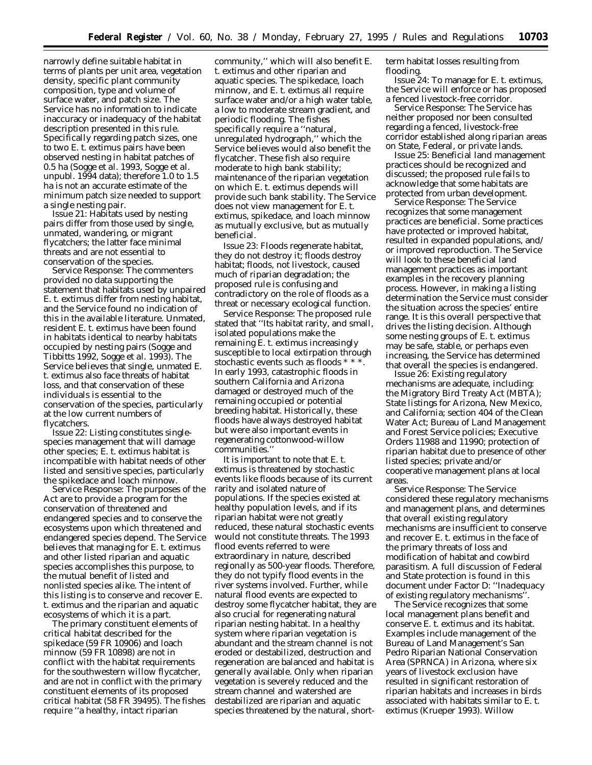narrowly define suitable habitat in terms of plants per unit area, vegetation density, specific plant community composition, type and volume of surface water, and patch size. The Service has no information to indicate inaccuracy or inadequacy of the habitat description presented in this rule. Specifically regarding patch sizes, one to two *E. t. extimus* pairs have been observed nesting in habitat patches of 0.5 ha (Sogge *et al.* 1993, Sogge *et al.* unpubl. 1994 data); therefore 1.0 to 1.5 ha is not an accurate estimate of the minimum patch size needed to support a single nesting pair.

*Issue 21:* Habitats used by nesting pairs differ from those used by single, unmated, wandering, or migrant flycatchers; the latter face minimal threats and are not essential to conservation of the species.

*Service Response:* The commenters provided no data supporting the statement that habitats used by unpaired *E. t. extimus* differ from nesting habitat, and the Service found no indication of this in the available literature. Unmated, resident *E. t. extimus* have been found in habitats identical to nearby habitats occupied by nesting pairs (Sogge and Tibbitts 1992, Sogge *et al.* 1993). The Service believes that single, unmated *E. t. extimus* also face threats of habitat loss, and that conservation of these individuals is essential to the conservation of the species, particularly at the low current numbers of flycatchers.

*Issue 22:* Listing constitutes singlespecies management that will damage other species; *E. t. extimus* habitat is incompatible with habitat needs of other listed and sensitive species, particularly the spikedace and loach minnow.

*Service Response:* The purposes of the Act are to provide a program for the conservation of threatened and endangered species and to conserve the ecosystems upon which threatened and endangered species depend. The Service believes that managing for *E*. *t*. *extimus* and other listed riparian and aquatic species accomplishes this purpose, to the mutual benefit of listed and nonlisted species alike. The intent of this listing is to conserve and recover *E*. *t*. *extimus* and the riparian and aquatic ecosystems of which it is a part.

The primary constituent elements of critical habitat described for the spikedace (59 FR 10906) and loach minnow (59 FR 10898) are not in conflict with the habitat requirements for the southwestern willow flycatcher, and are not in conflict with the primary constituent elements of its proposed critical habitat (58 FR 39495). The fishes require ''a healthy, intact riparian

community,'' which will also benefit *E*. *t*. *extimus* and other riparian and aquatic species. The spikedace, loach minnow, and *E*. *t*. *extimus* all require surface water and/or a high water table, a low to moderate stream gradient, and periodic flooding. The fishes specifically require a ''natural, unregulated hydrograph,'' which the Service believes would also benefit the flycatcher. These fish also require moderate to high bank stability; maintenance of the riparian vegetation on which *E*. *t*. *extimus* depends will provide such bank stability. The Service does not view management for *E*. *t*. *extimus*, spikedace, and loach minnow as mutually exclusive, but as mutually beneficial.

*Issue 23:* Floods regenerate habitat, they do not destroy it; floods destroy habitat; floods, not livestock, caused much of riparian degradation; the proposed rule is confusing and contradictory on the role of floods as a threat or necessary ecological function.

*Service Response:* The proposed rule stated that ''Its habitat rarity, and small, isolated populations make the remaining *E*. *t*. *extimus* increasingly susceptible to local extirpation through stochastic events such as floods \* \* \*. In early 1993, catastrophic floods in southern California and Arizona damaged or destroyed much of the remaining occupied or potential breeding habitat. Historically, these floods have always destroyed habitat but were also important events in regenerating cottonwood-willow communities.''

It is important to note that *E*. *t*. *extimus* is threatened by stochastic events like floods because of its current rarity and isolated nature of populations. If the species existed at healthy population levels, and if its riparian habitat were not greatly reduced, these natural stochastic events would not constitute threats. The 1993 flood events referred to were extraordinary in nature, described regionally as 500-year floods. Therefore, they do not typify flood events in the river systems involved. Further, while natural flood events are expected to destroy some flycatcher habitat, they are also crucial for regenerating natural riparian nesting habitat. In a healthy system where riparian vegetation is abundant and the stream channel is not eroded or destabilized, destruction and regeneration are balanced and habitat is generally available. Only when riparian vegetation is severely reduced and the stream channel and watershed are destabilized are riparian and aquatic species threatened by the natural, shortterm habitat losses resulting from flooding.

*Issue 24:* To manage for *E*. *t*. *extimus*, the Service will enforce or has proposed a fenced livestock-free corridor.

*Service Response:* The Service has neither proposed nor been consulted regarding a fenced, livestock-free corridor established along riparian areas on State, Federal, or private lands.

*Issue 25:* Beneficial land management practices should be recognized and discussed; the proposed rule fails to acknowledge that some habitats are protected from urban development.

*Service Response:* The Service recognizes that some management practices are beneficial. Some practices have protected or improved habitat, resulted in expanded populations, and/ or improved reproduction. The Service will look to these beneficial land management practices as important examples in the recovery planning process. However, in making a listing determination the Service must consider the situation across the species' entire range. It is this overall perspective that drives the listing decision. Although some nesting groups of *E*. *t*. *extimus* may be safe, stable, or perhaps even increasing, the Service has determined that overall the species is endangered.

*Issue 26:* Existing regulatory mechanisms are adequate, including: the Migratory Bird Treaty Act (MBTA); State listings for Arizona, New Mexico, and California; section 404 of the Clean Water Act; Bureau of Land Management and Forest Service policies; Executive Orders 11988 and 11990; protection of riparian habitat due to presence of other listed species; private and/or cooperative management plans at local areas.

*Service Response:* The Service considered these regulatory mechanisms and management plans, and determines that overall existing regulatory mechanisms are insufficient to conserve and recover *E*. *t*. *extimus* in the face of the primary threats of loss and modification of habitat and cowbird parasitism. A full discussion of Federal and State protection is found in this document under Factor D: ''*Inadequacy of existing regulatory mechanisms*''.

The Service recognizes that some local management plans benefit and conserve *E*. *t*. *extimus* and its habitat. Examples include management of the Bureau of Land Management's San Pedro Riparian National Conservation Area (SPRNCA) in Arizona, where six years of livestock exclusion have resulted in significant restoration of riparian habitats and increases in birds associated with habitats similar to *E*. *t*. *extimus* (Krueper 1993). Willow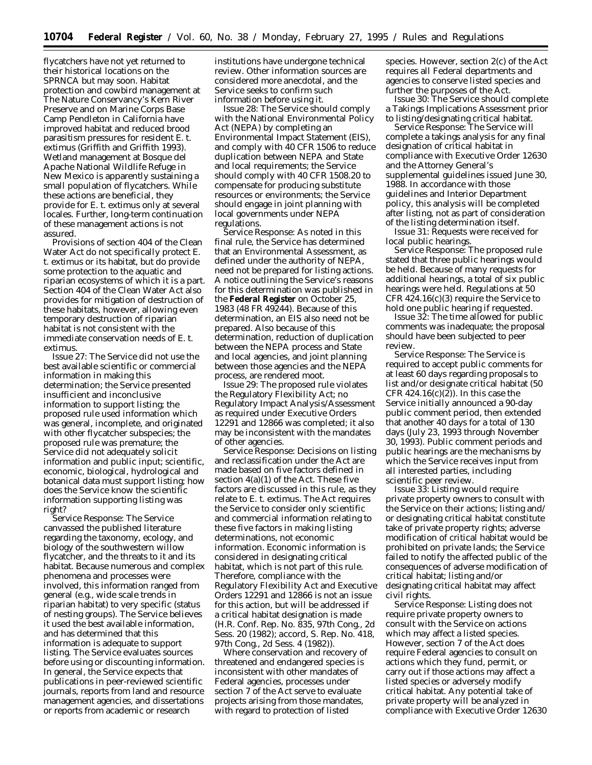flycatchers have not yet returned to their historical locations on the SPRNCA but may soon. Habitat protection and cowbird management at The Nature Conservancy's Kern River Preserve and on Marine Corps Base Camp Pendleton in California have improved habitat and reduced brood parasitism pressures for resident *E*. *t*. *extimus* (Griffith and Griffith 1993). Wetland management at Bosque del Apache National Wildlife Refuge in New Mexico is apparently sustaining a small population of flycatchers. While these actions are beneficial, they provide for *E*. *t*. *extimus* only at several locales. Further, long-term continuation of these management actions is not assured.

Provisions of section 404 of the Clean Water Act do not specifically protect *E*. *t*. *extimus* or its habitat, but do provide some protection to the aquatic and riparian ecosystems of which it is a part. Section 404 of the Clean Water Act also provides for mitigation of destruction of these habitats, however, allowing even temporary destruction of riparian habitat is not consistent with the immediate conservation needs of *E*. *t*. *extimus*.

*Issue 27:* The Service did not use the best available scientific or commercial information in making this determination; the Service presented insufficient and inconclusive information to support listing; the proposed rule used information which was general, incomplete, and originated with other flycatcher subspecies; the proposed rule was premature; the Service did not adequately solicit information and public input; scientific, economic, biological, hydrological and botanical data must support listing; how does the Service know the scientific information supporting listing was right?

*Service Response:* The Service canvassed the published literature regarding the taxonomy, ecology, and biology of the southwestern willow flycatcher, and the threats to it and its habitat. Because numerous and complex phenomena and processes were involved, this information ranged from general (e.g., wide scale trends in riparian habitat) to very specific (status of nesting groups). The Service believes it used the best available information, and has determined that this information is adequate to support listing. The Service evaluates sources before using or discounting information. In general, the Service expects that publications in peer-reviewed scientific journals, reports from land and resource management agencies, and dissertations or reports from academic or research

institutions have undergone technical review. Other information sources are considered more anecdotal, and the Service seeks to confirm such information before using it.

*Issue 28*: The Service should comply with the National Environmental Policy Act (NEPA) by completing an Environmental Impact Statement (EIS), and comply with 40 CFR 1506 to reduce duplication between NEPA and State and local requirements; the Service should comply with 40 CFR 1508.20 to compensate for producing substitute resources or environments; the Service should engage in joint planning with local governments under NEPA regulations.

*Service Response*: As noted in this final rule, the Service has determined that an Environmental Assessment, as defined under the authority of NEPA, need not be prepared for listing actions. A notice outlining the Service's reasons for this determination was published in the **Federal Register** on October 25, 1983 (48 FR 49244). Because of this determination, an EIS also need not be prepared. Also because of this determination, reduction of duplication between the NEPA process and State and local agencies, and joint planning between those agencies and the NEPA process, are rendered moot.

*Issue 29*: The proposed rule violates the Regulatory Flexibility Act; no Regulatory Impact Analysis/Assessment as required under Executive Orders 12291 and 12866 was completed; it also may be inconsistent with the mandates of other agencies.

*Service Response*: Decisions on listing and reclassification under the Act are made based on five factors defined in section 4(a)(1) of the Act. These five factors are discussed in this rule, as they relate to *E. t. extimus.* The Act requires the Service to consider only scientific and commercial information relating to these five factors in making listing determinations, not economic information. Economic information is considered in designating critical habitat, which is not part of this rule. Therefore, compliance with the Regulatory Flexibility Act and Executive Orders 12291 and 12866 is not an issue for this action, but will be addressed if a critical habitat designation is made (H.R. Conf. Rep. No. 835, 97th Cong., 2d Sess. 20 (1982); *accord,* S. Rep. No. 418, 97th Cong., 2d Sess. 4 (1982)).

Where conservation and recovery of threatened and endangered species is inconsistent with other mandates of Federal agencies, processes under section 7 of the Act serve to evaluate projects arising from those mandates, with regard to protection of listed

species. However, section 2(c) of the Act requires all Federal departments and agencies to conserve listed species and further the purposes of the Act.

*Issue 30*: The Service should complete a Takings Implications Assessment prior to listing/designating critical habitat.

*Service Response*: The Service will complete a takings analysis for any final designation of critical habitat in compliance with Executive Order 12630 and the Attorney General's supplemental guidelines issued June 30, 1988. In accordance with those guidelines and Interior Department policy, this analysis will be completed after listing, not as part of consideration of the listing determination itself.

*Issue 31*: Requests were received for local public hearings.

*Service Response*: The proposed rule stated that three public hearings would be held. Because of many requests for additional hearings, a total of six public hearings were held. Regulations at 50 CFR 424.16(c)(3) require the Service to hold one public hearing if requested.

*Issue 32*: The time allowed for public comments was inadequate; the proposal should have been subjected to peer review.

*Service Response*: The Service is required to accept public comments for at least 60 days regarding proposals to list and/or designate critical habitat (50 CFR  $424.16(c)(2)$ ). In this case the Service initially announced a 90-day public comment period, then extended that another 40 days for a total of 130 days (July 23, 1993 through November 30, 1993). Public comment periods and public hearings are the mechanisms by which the Service receives input from all interested parties, including scientific peer review.

*Issue 33*: Listing would require private property owners to consult with the Service on their actions; listing and/ or designating critical habitat constitute take of private property rights; adverse modification of critical habitat would be prohibited on private lands; the Service failed to notify the affected public of the consequences of adverse modification of critical habitat; listing and/or designating critical habitat may affect civil rights.

*Service Response*: Listing does not require private property owners to consult with the Service on actions which may affect a listed species. However, section 7 of the Act does require Federal agencies to consult on actions which they fund, permit, or carry out if those actions may affect a listed species or adversely modify critical habitat. Any potential take of private property will be analyzed in compliance with Executive Order 12630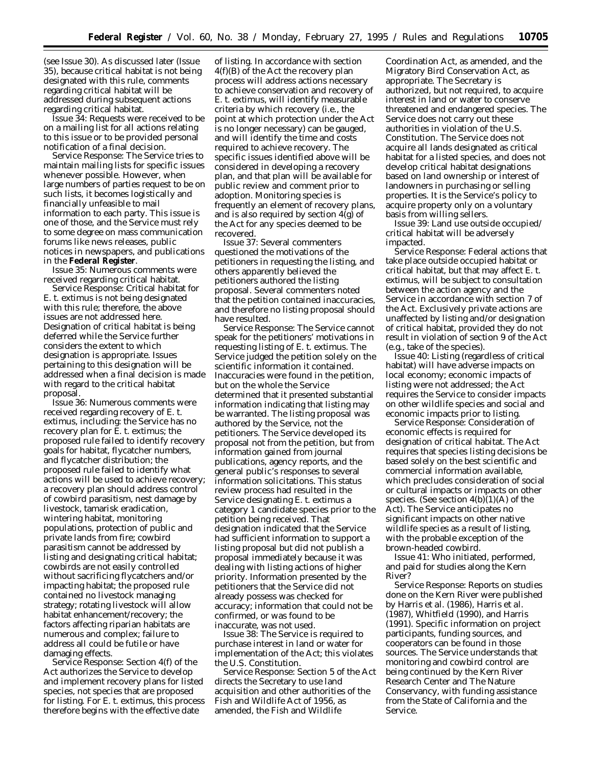(see Issue 30). As discussed later (Issue 35), because critical habitat is not being designated with this rule, comments regarding critical habitat will be addressed during subsequent actions regarding critical habitat.

*Issue 34*: Requests were received to be on a mailing list for all actions relating to this issue or to be provided personal notification of a final decision.

*Service Response*: The Service tries to maintain mailing lists for specific issues whenever possible. However, when large numbers of parties request to be on such lists, it becomes logistically and financially unfeasible to mail information to each party. This issue is one of those, and the Service must rely to some degree on mass communication forums like news releases, public notices in newspapers, and publications in the **Federal Register**.

*Issue 35*: Numerous comments were received regarding critical habitat.

*Service Response*: Critical habitat for *E. t. extimus* is not being designated with this rule; therefore, the above issues are not addressed here. Designation of critical habitat is being deferred while the Service further considers the extent to which designation is appropriate. Issues pertaining to this designation will be addressed when a final decision is made with regard to the critical habitat proposal.

*Issue 36*: Numerous comments were received regarding recovery of *E. t. extimus,* including: the Service has no recovery plan for *E. t. extimus;* the proposed rule failed to identify recovery goals for habitat, flycatcher numbers, and flycatcher distribution; the proposed rule failed to identify what actions will be used to achieve recovery; a recovery plan should address control of cowbird parasitism, nest damage by livestock, tamarisk eradication, wintering habitat, monitoring populations, protection of public and private lands from fire; cowbird parasitism cannot be addressed by listing and designating critical habitat; cowbirds are not easily controlled without sacrificing flycatchers and/or impacting habitat; the proposed rule contained no livestock managing strategy; rotating livestock will allow habitat enhancement/recovery; the factors affecting riparian habitats are numerous and complex; failure to address all could be futile or have damaging effects.

*Service Response*: Section 4(f) of the Act authorizes the Service to develop and implement recovery plans for listed species, not species that are proposed for listing. For *E. t. extimus*, this process therefore begins with the effective date

of listing. In accordance with section 4(f)(B) of the Act the recovery plan process will address actions necessary to achieve conservation and recovery of *E. t. extimus*, will identify measurable criteria by which recovery (*i.e.,* the point at which protection under the Act is no longer necessary) can be gauged, and will identify the time and costs required to achieve recovery. The specific issues identified above will be considered in developing a recovery plan, and that plan will be available for public review and comment prior to adoption. Monitoring species is frequently an element of recovery plans, and is also required by section 4(g) of the Act for any species deemed to be recovered.

*Issue 37*: Several commenters questioned the motivations of the petitioners in requesting the listing, and others apparently believed the petitioners authored the listing proposal. Several commenters noted that the petition contained inaccuracies, and therefore no listing proposal should have resulted.

*Service Response*: The Service cannot speak for the petitioners' motivations in requesting listing of *E. t. extimus.* The Service judged the petition solely on the scientific information it contained. Inaccuracies were found in the petition, but on the whole the Service determined that it presented substantial information indicating that listing may be warranted. The listing proposal was authored by the Service, not the petitioners. The Service developed its proposal not from the petition, but from information gained from journal publications, agency reports, and the general public's responses to several information solicitations. This status review process had resulted in the Service designating *E. t. extimus* a category 1 candidate species prior to the petition being received. That designation indicated that the Service had sufficient information to support a listing proposal but did not publish a proposal immediately because it was dealing with listing actions of higher priority. Information presented by the petitioners that the Service did not already possess was checked for accuracy; information that could not be confirmed, or was found to be inaccurate, was not used.

*Issue 38*: The Service is required to purchase interest in land or water for implementation of the Act; this violates the U.S. Constitution.

*Service Response*: Section 5 of the Act directs the Secretary to use land acquisition and other authorities of the Fish and Wildlife Act of 1956, as amended, the Fish and Wildlife

Coordination Act, as amended, and the Migratory Bird Conservation Act, as appropriate. The Secretary is authorized, but not required, to acquire interest in land or water to conserve threatened and endangered species. The Service does not carry out these authorities in violation of the U.S. Constitution. The Service does not acquire all lands designated as critical habitat for a listed species, and does not develop critical habitat designations based on land ownership or interest of landowners in purchasing or selling properties. It is the Service's policy to acquire property only on a voluntary basis from willing sellers.

*Issue 39*: Land use outside occupied/ critical habitat will be adversely impacted.

*Service Response:* Federal actions that take place outside occupied habitat or critical habitat, but that may affect *E. t. extimus,* will be subject to consultation between the action agency and the Service in accordance with section 7 of the Act. Exclusively private actions are unaffected by listing and/or designation of critical habitat, provided they do not result in violation of section 9 of the Act (*e.g*., take of the species).

*Issue 40*: Listing (regardless of critical habitat) will have adverse impacts on local economy; economic impacts of listing were not addressed; the Act requires the Service to consider impacts on other wildlife species and social and economic impacts prior to listing.

*Service Response*: Consideration of economic effects is required for designation of critical habitat. The Act requires that species listing decisions be based solely on the best scientific and commercial information available, which precludes consideration of social or cultural impacts or impacts on other species. (See section  $4(b)(1)(A)$  of the Act). The Service anticipates no significant impacts on other native wildlife species as a result of listing, with the probable exception of the brown-headed cowbird.

*Issue 41*: Who initiated, performed, and paid for studies along the Kern River?

*Service Response*: Reports on studies done on the Kern River were published by Harris *et al*. (1986), Harris *et al*. (1987), Whitfield (1990), and Harris (1991). Specific information on project participants, funding sources, and cooperators can be found in those sources. The Service understands that monitoring and cowbird control are being continued by the Kern River Research Center and The Nature Conservancy, with funding assistance from the State of California and the Service.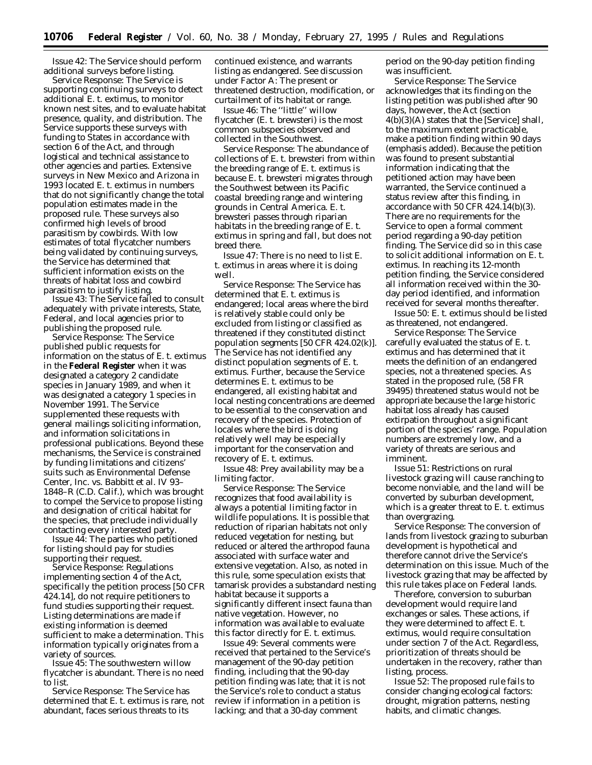*Issue 42*: The Service should perform additional surveys before listing.

*Service Response:* The Service is supporting continuing surveys to detect additional *E. t. extimus,* to monitor known nest sites, and to evaluate habitat presence, quality, and distribution. The Service supports these surveys with funding to States in accordance with section 6 of the Act, and through logistical and technical assistance to other agencies and parties. Extensive surveys in New Mexico and Arizona in 1993 located *E. t. extimus* in numbers that do not significantly change the total population estimates made in the proposed rule. These surveys also confirmed high levels of brood parasitism by cowbirds. With low estimates of total flycatcher numbers being validated by continuing surveys, the Service has determined that sufficient information exists on the threats of habitat loss and cowbird parasitism to justify listing.

*Issue 43:* The Service failed to consult adequately with private interests, State, Federal, and local agencies prior to publishing the proposed rule.

*Service Response:* The Service published public requests for information on the status of *E. t. extimus* in the **Federal Register** when it was designated a category 2 candidate species in January 1989, and when it was designated a category 1 species in November 1991. The Service supplemented these requests with general mailings soliciting information, and information solicitations in professional publications. Beyond these mechanisms, the Service is constrained by funding limitations and citizens' suits such as *Environmental Defense Center, Inc. vs. Babbitt et al.* IV 93– 1848–R (C.D. Calif.), which was brought to compel the Service to propose listing and designation of critical habitat for the species, that preclude individually contacting every interested party.

*Issue 44:* The parties who petitioned for listing should pay for studies supporting their request.

*Service Response:* Regulations implementing section 4 of the Act, specifically the petition process [50 CFR 424.14], do not require petitioners to fund studies supporting their request. Listing determinations are made if existing information is deemed sufficient to make a determination. This information typically originates from a variety of sources.

*Issue 45:* The southwestern willow flycatcher is abundant. There is no need to list.

*Service Response:* The Service has determined that *E. t. extimus* is rare, not abundant, faces serious threats to its

continued existence, and warrants listing as endangered. See discussion under Factor A: *The present or threatened destruction, modification, or curtailment of its habitat or range.*

*Issue 46:* The ''little'' willow flycatcher (*E. t. brewsteri*) is the most common subspecies observed and collected in the Southwest.

*Service Response:* The abundance of collections of *E. t. brewsteri* from within the breeding range of *E. t. extimus* is because *E. t. brewsteri* migrates through the Southwest between its Pacific coastal breeding range and wintering grounds in Central America. *E. t. brewsteri* passes through riparian habitats in the breeding range of *E. t. extimus* in spring and fall, but does not breed there.

*Issue 47:* There is no need to list *E. t. extimus* in areas where it is doing well.

*Service Response:* The Service has determined that *E. t. extimus* is endangered; local areas where the bird is relatively stable could only be excluded from listing or classified as threatened if they constituted distinct population segments [50 CFR 424.02(k)]. The Service has not identified any distinct population segments of *E. t. extimus.* Further, because the Service determines *E. t. extimus* to be endangered, all existing habitat and local nesting concentrations are deemed to be essential to the conservation and recovery of the species. Protection of locales where the bird is doing relatively well may be especially important for the conservation and recovery of *E. t. extimus.*

*Issue 48:* Prey availability may be a limiting factor.

*Service Response:* The Service recognizes that food availability is always a potential limiting factor in wildlife populations. It is possible that reduction of riparian habitats not only reduced vegetation for nesting, but reduced or altered the arthropod fauna associated with surface water and extensive vegetation. Also, as noted in this rule, some speculation exists that tamarisk provides a substandard nesting habitat because it supports a significantly different insect fauna than native vegetation. However, no information was available to evaluate this factor directly for *E. t. extimus.*

*Issue 49:* Several comments were received that pertained to the Service's management of the 90-day petition finding, including that the 90-day petition finding was late; that it is not the Service's role to conduct a status review if information in a petition is lacking; and that a 30-day comment

period on the 90-day petition finding was insufficient.

*Service Response:* The Service acknowledges that its finding on the listing petition was published after 90 days, however, the Act (section 4(b)(3)(A) states that the [Service] shall, *to the maximum extent practicable,* make a petition finding within 90 days (emphasis added). Because the petition was found to present substantial information indicating that the petitioned action may have been warranted, the Service continued a status review after this finding, in accordance with 50 CFR  $424.\overline{1}4(b)(3)$ . There are no requirements for the Service to open a formal comment period regarding a 90-day petition finding. The Service did so in this case to solicit additional information on *E. t. extimus.* In reaching its 12-month petition finding, the Service considered all information received within the 30 day period identified, and information received for several months thereafter.

*Issue 50: E. t. extimus* should be listed as threatened, not endangered.

*Service Response:* The Service carefully evaluated the status of *E. t. extimus* and has determined that it meets the definition of an endangered species, not a threatened species. As stated in the proposed rule, (58 FR 39495) threatened status would not be appropriate because the large historic habitat loss already has caused extirpation throughout a significant portion of the species' range. Population numbers are extremely low, and a variety of threats are serious and imminent.

*Issue 51:* Restrictions on rural livestock grazing will cause ranching to become nonviable, and the land will be converted by suburban development, which is a greater threat to *E. t. extimus* than overgrazing.

*Service Response:* The conversion of lands from livestock grazing to suburban development is hypothetical and therefore cannot drive the Service's determination on this issue. Much of the livestock grazing that may be affected by this rule takes place on Federal lands.

Therefore, conversion to suburban development would require land exchanges or sales. These actions, if they were determined to affect *E. t. extimus,* would require consultation under section 7 of the Act. Regardless, prioritization of threats should be undertaken in the recovery, rather than listing, process.

*Issue 52:* The proposed rule fails to consider changing ecological factors: drought, migration patterns, nesting habits, and climatic changes.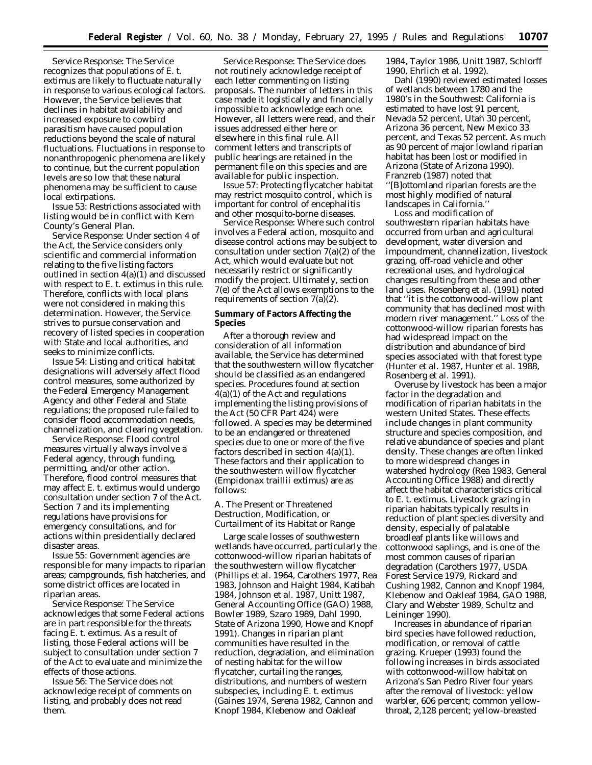*Service Response:* The Service recognizes that populations of *E. t. extimus* are likely to fluctuate naturally in response to various ecological factors. However, the Service believes that declines in habitat availability and increased exposure to cowbird parasitism have caused population reductions beyond the scale of natural fluctuations. Fluctuations in response to nonanthropogenic phenomena are likely to continue, but the current population levels are so low that these natural phenomena may be sufficient to cause local extirpations.

*Issue 53:* Restrictions associated with listing would be in conflict with Kern County's General Plan.

*Service Response:* Under section 4 of the Act, the Service considers only scientific and commercial information relating to the five listing factors outlined in section 4(a)(1) and discussed with respect to *E. t. extimus* in this rule. Therefore, conflicts with local plans were not considered in making this determination. However, the Service strives to pursue conservation and recovery of listed species in cooperation with State and local authorities, and seeks to minimize conflicts.

*Issue 54:* Listing and critical habitat designations will adversely affect flood control measures, some authorized by the Federal Emergency Management Agency and other Federal and State regulations; the proposed rule failed to consider flood accommodation needs, channelization, and clearing vegetation.

*Service Response:* Flood control measures virtually always involve a Federal agency, through funding, permitting, and/or other action. Therefore, flood control measures that may affect *E. t. extimus* would undergo consultation under section 7 of the Act. Section 7 and its implementing regulations have provisions for emergency consultations, and for actions within presidentially declared disaster areas.

*Issue 55:* Government agencies are responsible for many impacts to riparian areas; campgrounds, fish hatcheries, and some district offices are located in riparian areas.

*Service Response:* The Service acknowledges that some Federal actions are in part responsible for the threats facing *E. t. extimus.* As a result of listing, those Federal actions will be subject to consultation under section 7 of the Act to evaluate and minimize the effects of those actions.

*Issue 56:* The Service does not acknowledge receipt of comments on listing, and probably does not read them.

*Service Response:* The Service does not routinely acknowledge receipt of each letter commenting on listing proposals. The number of letters in this case made it logistically and financially impossible to acknowledge each one. However, all letters were read, and their issues addressed either here or elsewhere in this final rule. All comment letters and transcripts of public hearings are retained in the permanent file on this species and are available for public inspection.

*Issue 57:* Protecting flycatcher habitat may restrict mosquito control, which is important for control of encephalitis and other mosquito-borne diseases.

*Service Response:* Where such control involves a Federal action, mosquito and disease control actions may be subject to consultation under section 7(a)(2) of the Act, which would evaluate but not necessarily restrict or significantly modify the project. Ultimately, section 7(e) of the Act allows exemptions to the requirements of section 7(a)(2).

#### **Summary of Factors Affecting the Species**

After a thorough review and consideration of all information available, the Service has determined that the southwestern willow flycatcher should be classified as an endangered species. Procedures found at section 4(a)(1) of the Act and regulations implementing the listing provisions of the Act (50 CFR Part 424) were followed. A species may be determined to be an endangered or threatened species due to one or more of the five factors described in section  $4(a)(1)$ . These factors and their application to the southwestern willow flycatcher (*Empidonax traillii extimus*) are as follows:

#### *A. The Present or Threatened Destruction, Modification, or Curtailment of its Habitat or Range*

Large scale losses of southwestern wetlands have occurred, particularly the cottonwood-willow riparian habitats of the southwestern willow flycatcher (Phillips *et al*. 1964, Carothers 1977, Rea 1983, Johnson and Haight 1984, Katibah 1984, Johnson *et al*. 1987, Unitt 1987, General Accounting Office (GAO) 1988, Bowler 1989, Szaro 1989, Dahl 1990, State of Arizona 1990, Howe and Knopf 1991). Changes in riparian plant communities have resulted in the reduction, degradation, and elimination of nesting habitat for the willow flycatcher, curtailing the ranges, distributions, and numbers of western subspecies, including *E*. *t*. *extimus* (Gaines 1974, Serena 1982, Cannon and Knopf 1984, Klebenow and Oakleaf

1984, Taylor 1986, Unitt 1987, Schlorff 1990, Ehrlich *et al*. 1992).

Dahl (1990) reviewed estimated losses of wetlands between 1780 and the 1980's in the Southwest: California is estimated to have lost 91 percent, Nevada 52 percent, Utah 30 percent, Arizona 36 percent, New Mexico 33 percent, and Texas 52 percent. As much as 90 percent of major lowland riparian habitat has been lost or modified in Arizona (State of Arizona 1990). Franzreb (1987) noted that ''[B]ottomland riparian forests are the most highly modified of natural landscapes in California.''

Loss and modification of southwestern riparian habitats have occurred from urban and agricultural development, water diversion and impoundment, channelization, livestock grazing, off-road vehicle and other recreational uses, and hydrological changes resulting from these and other land uses. Rosenberg *et al*. (1991) noted that ''it is the cottonwood-willow plant community that has declined most with modern river management.'' Loss of the cottonwood-willow riparian forests has had widespread impact on the distribution and abundance of bird species associated with that forest type (Hunter *et al*. 1987, Hunter *et al*. 1988, Rosenberg *et al*. 1991).

Overuse by livestock has been a major factor in the degradation and modification of riparian habitats in the western United States. These effects include changes in plant community structure and species composition, and relative abundance of species and plant density. These changes are often linked to more widespread changes in watershed hydrology (Rea 1983, General Accounting Office 1988) and directly affect the habitat characteristics critical to *E*. *t*. *extimus*. Livestock grazing in riparian habitats typically results in reduction of plant species diversity and density, especially of palatable broadleaf plants like willows and cottonwood saplings, and is one of the most common causes of riparian degradation (Carothers 1977, USDA Forest Service 1979, Rickard and Cushing 1982, Cannon and Knopf 1984, Klebenow and Oakleaf 1984, GAO 1988, Clary and Webster 1989, Schultz and Leininger 1990).

Increases in abundance of riparian bird species have followed reduction, modification, or removal of cattle grazing. Krueper (1993) found the following increases in birds associated with cottonwood-willow habitat on Arizona's San Pedro River four years after the removal of livestock: yellow warbler, 606 percent; common yellowthroat, 2,128 percent; yellow-breasted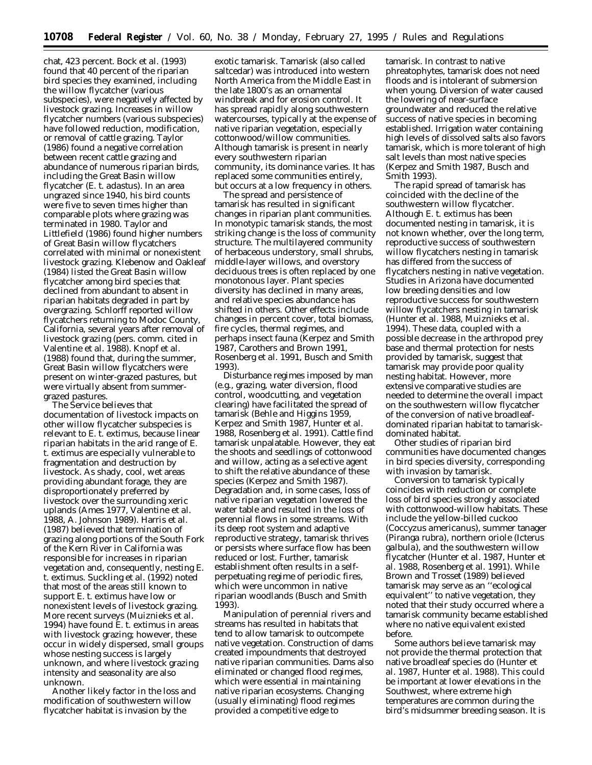chat, 423 percent. Bock *et al*. (1993) found that 40 percent of the riparian bird species they examined, including the willow flycatcher (various subspecies), were negatively affected by livestock grazing. Increases in willow flycatcher numbers (various subspecies) have followed reduction, modification, or removal of cattle grazing. Taylor (1986) found a negative correlation between recent cattle grazing and abundance of numerous riparian birds, including the Great Basin willow flycatcher (*E*. *t*. *adastus*). In an area ungrazed since 1940, his bird counts were five to seven times higher than comparable plots where grazing was terminated in 1980. Taylor and Littlefield (1986) found higher numbers of Great Basin willow flycatchers correlated with minimal or nonexistent livestock grazing. Klebenow and Oakleaf (1984) listed the Great Basin willow flycatcher among bird species that declined from abundant to absent in riparian habitats degraded in part by overgrazing. Schlorff reported willow flycatchers returning to Modoc County, California, several years after removal of livestock grazing (pers. comm. cited in Valentine *et al*. 1988). Knopf *et al*. (1988) found that, during the summer, Great Basin willow flycatchers were present on winter-grazed pastures, but were virtually absent from summergrazed pastures.

The Service believes that documentation of livestock impacts on other willow flycatcher subspecies is relevant to *E*. *t*. *extimus*, because linear riparian habitats in the arid range of *E*. *t*. *extimus* are especially vulnerable to fragmentation and destruction by livestock. As shady, cool, wet areas providing abundant forage, they are disproportionately preferred by livestock over the surrounding xeric uplands (Ames 1977, Valentine *et al*. 1988, A. Johnson 1989). Harris *et al*. (1987) believed that termination of grazing along portions of the South Fork of the Kern River in California was responsible for increases in riparian vegetation and, consequently, nesting *E*. *t*. *extimus*. Suckling *et al*. (1992) noted that most of the areas still known to support *E*. *t*. *extimus* have low or nonexistent levels of livestock grazing. More recent surveys (Muiznieks *et al*. 1994) have found *E*. *t*. *extimus* in areas with livestock grazing; however, these occur in widely dispersed, small groups whose nesting success is largely unknown, and where livestock grazing intensity and seasonality are also unknown.

Another likely factor in the loss and modification of southwestern willow flycatcher habitat is invasion by the

exotic tamarisk. Tamarisk (also called saltcedar) was introduced into western North America from the Middle East in the late 1800's as an ornamental windbreak and for erosion control. It has spread rapidly along southwestern watercourses, typically at the expense of native riparian vegetation, especially cottonwood/willow communities. Although tamarisk is present in nearly every southwestern riparian community, its dominance varies. It has replaced some communities entirely, but occurs at a low frequency in others.

The spread and persistence of tamarisk has resulted in significant changes in riparian plant communities. In monotypic tamarisk stands, the most striking change is the loss of community structure. The multilayered community of herbaceous understory, small shrubs, middle-layer willows, and overstory deciduous trees is often replaced by one monotonous layer. Plant species diversity has declined in many areas, and relative species abundance has shifted in others. Other effects include changes in percent cover, total biomass, fire cycles, thermal regimes, and perhaps insect fauna (Kerpez and Smith 1987, Carothers and Brown 1991, Rosenberg *et al.* 1991, Busch and Smith 1993).

Disturbance regimes imposed by man (e.g., grazing, water diversion, flood control, woodcutting, and vegetation clearing) have facilitated the spread of tamarisk (Behle and Higgins 1959, Kerpez and Smith 1987, Hunter *et al.* 1988, Rosenberg *et al.* 1991). Cattle find tamarisk unpalatable. However, they eat the shoots and seedlings of cottonwood and willow, acting as a selective agent to shift the relative abundance of these species (Kerpez and Smith 1987). Degradation and, in some cases, loss of native riparian vegetation lowered the water table and resulted in the loss of perennial flows in some streams. With its deep root system and adaptive reproductive strategy, tamarisk thrives or persists where surface flow has been reduced or lost. Further, tamarisk establishment often results in a selfperpetuating regime of periodic fires, which were uncommon in native riparian woodlands (Busch and Smith 1993).

Manipulation of perennial rivers and streams has resulted in habitats that tend to allow tamarisk to outcompete native vegetation. Construction of dams created impoundments that destroyed native riparian communities. Dams also eliminated or changed flood regimes, which were essential in maintaining native riparian ecosystems. Changing (usually eliminating) flood regimes provided a competitive edge to

tamarisk. In contrast to native phreatophytes, tamarisk does not need floods and is intolerant of submersion when young. Diversion of water caused the lowering of near-surface groundwater and reduced the relative success of native species in becoming established. Irrigation water containing high levels of dissolved salts also favors tamarisk, which is more tolerant of high salt levels than most native species (Kerpez and Smith 1987, Busch and Smith 1993).

The rapid spread of tamarisk has coincided with the decline of the southwestern willow flycatcher. Although *E. t. extimus* has been documented nesting in tamarisk, it is not known whether, over the long term, reproductive success of southwestern willow flycatchers nesting in tamarisk has differed from the success of flycatchers nesting in native vegetation. Studies in Arizona have documented low breeding densities and low reproductive success for southwestern willow flycatchers nesting in tamarisk (Hunter *et al.* 1988, Muiznieks *et al.* 1994). These data, coupled with a possible decrease in the arthropod prey base and thermal protection for nests provided by tamarisk, suggest that tamarisk may provide poor quality nesting habitat. However, more extensive comparative studies are needed to determine the overall impact on the southwestern willow flycatcher of the conversion of native broadleafdominated riparian habitat to tamariskdominated habitat.

Other studies of riparian bird communities have documented changes in bird species diversity, corresponding with invasion by tamarisk.

Conversion to tamarisk typically coincides with reduction or complete loss of bird species strongly associated with cottonwood-willow habitats. These include the yellow-billed cuckoo (*Coccyzus americanus*), summer tanager (*Piranga rubra*), northern oriole (*Icterus galbula*), and the southwestern willow flycatcher (Hunter *et al.* 1987, Hunter *et al.* 1988, Rosenberg *et al.* 1991). While Brown and Trosset (1989) believed tamarisk may serve as an ''ecological equivalent'' to native vegetation, they noted that their study occurred where a tamarisk community became established where no native equivalent existed before.

Some authors believe tamarisk may not provide the thermal protection that native broadleaf species do (Hunter *et al.* 1987, Hunter *et al.* 1988). This could be important at lower elevations in the Southwest, where extreme high temperatures are common during the bird's midsummer breeding season. It is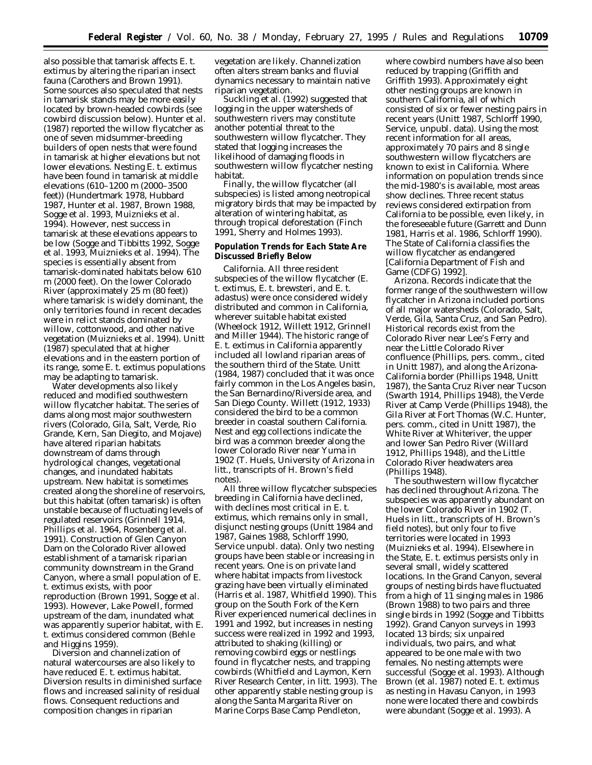also possible that tamarisk affects *E. t. extimus* by altering the riparian insect fauna (Carothers and Brown 1991). Some sources also speculated that nests in tamarisk stands may be more easily located by brown-headed cowbirds (see cowbird discussion below). Hunter *et al.* (1987) reported the willow flycatcher as one of seven midsummer-breeding builders of open nests that were found in tamarisk at higher elevations but not lower elevations. Nesting *E. t. extimus* have been found in tamarisk at middle elevations (610–1200 m (2000–3500 feet)) (Hundertmark 1978, Hubbard 1987, Hunter *et al.* 1987, Brown 1988, Sogge *et al.* 1993, Muiznieks *et al.* 1994). However, nest success in tamarisk at these elevations appears to be low (Sogge and Tibbitts 1992, Sogge *et al.* 1993, Muiznieks *et al.* 1994). The species is essentially absent from tamarisk-dominated habitats below 610 m (2000 feet). On the lower Colorado River (approximately 25 m (80 feet)) where tamarisk is widely dominant, the only territories found in recent decades were in relict stands dominated by willow, cottonwood, and other native vegetation (Muiznieks *et al.* 1994). Unitt (1987) speculated that at higher elevations and in the eastern portion of its range, some *E. t. extimus* populations may be adapting to tamarisk.

Water developments also likely reduced and modified southwestern willow flycatcher habitat. The series of dams along most major southwestern rivers (Colorado, Gila, Salt, Verde, Rio Grande, Kern, San Diegito, and Mojave) have altered riparian habitats downstream of dams through hydrological changes, vegetational changes, and inundated habitats upstream. New habitat is sometimes created along the shoreline of reservoirs, but this habitat (often tamarisk) is often unstable because of fluctuating levels of regulated reservoirs (Grinnell 1914, Phillips *et al.* 1964, Rosenberg *et al.* 1991). Construction of Glen Canyon Dam on the Colorado River allowed establishment of a tamarisk riparian community downstream in the Grand Canyon, where a small population of *E. t. extimus* exists, with poor reproduction (Brown 1991, Sogge *et al.* 1993). However, Lake Powell, formed upstream of the dam, inundated what was apparently superior habitat, with *E. t. extimus* considered common (Behle and Higgins 1959).

Diversion and channelization of natural watercourses are also likely to have reduced *E. t. extimus* habitat. Diversion results in diminished surface flows and increased salinity of residual flows. Consequent reductions and composition changes in riparian

vegetation are likely. Channelization often alters stream banks and fluvial dynamics necessary to maintain native riparian vegetation.

Suckling *et al.* (1992) suggested that logging in the upper watersheds of southwestern rivers may constitute another potential threat to the southwestern willow flycatcher. They stated that logging increases the likelihood of damaging floods in southwestern willow flycatcher nesting habitat.

Finally, the willow flycatcher (all subspecies) is listed among neotropical migratory birds that may be impacted by alteration of wintering habitat, as through tropical deforestation (Finch 1991, Sherry and Holmes 1993).

#### **Population Trends for Each State Are Discussed Briefly Below**

*California.* All three resident subspecies of the willow flycatcher (*E. t. extimus, E. t. brewsteri,* and *E. t. adastus*) were once considered widely distributed and common in California, wherever suitable habitat existed (Wheelock 1912, Willett 1912, Grinnell and Miller 1944). The historic range of *E. t. extimus* in California apparently included all lowland riparian areas of the southern third of the State. Unitt (1984, 1987) concluded that it was once fairly common in the Los Angeles basin, the San Bernardino/Riverside area, and San Diego County. Willett (1912, 1933) considered the bird to be a common breeder in coastal southern California. Nest and egg collections indicate the bird was a common breeder along the lower Colorado River near Yuma in 1902 (T. Huels, University of Arizona *in litt.,* transcripts of H. Brown's field notes).

All three willow flycatcher subspecies breeding in California have declined, with declines most critical in *E. t. extimus,* which remains only in small, disjunct nesting groups (Unitt 1984 and 1987, Gaines 1988, Schlorff 1990, Service unpubl. data). Only two nesting groups have been stable or increasing in recent years. One is on private land where habitat impacts from livestock grazing have been virtually eliminated (Harris *et al.* 1987, Whitfield 1990). This group on the South Fork of the Kern River experienced numerical declines in 1991 and 1992, but increases in nesting success were realized in 1992 and 1993, attributed to shaking (killing) or removing cowbird eggs or nestlings found in flycatcher nests, and trapping cowbirds (Whitfield and Laymon, Kern River Research Center, *in litt.* 1993). The other apparently stable nesting group is along the Santa Margarita River on Marine Corps Base Camp Pendleton,

where cowbird numbers have also been reduced by trapping (Griffith and Griffith 1993). Approximately eight other nesting groups are known in southern California, all of which consisted of six or fewer nesting pairs in recent years (Unitt 1987, Schlorff 1990, Service, unpubl. data). Using the most recent information for all areas, approximately 70 pairs and 8 single southwestern willow flycatchers are known to exist in California. Where information on population trends since the mid-1980's is available, most areas show declines. Three recent status reviews considered extirpation from California to be possible, even likely, in the foreseeable future (Garrett and Dunn 1981, Harris *et al.* 1986, Schlorff 1990). The State of California classifies the willow flycatcher as endangered [California Department of Fish and Game (CDFG) 1992].

*Arizona.* Records indicate that the former range of the southwestern willow flycatcher in Arizona included portions of all major watersheds (Colorado, Salt, Verde, Gila, Santa Cruz, and San Pedro). Historical records exist from the Colorado River near Lee's Ferry and near the Little Colorado River confluence (Phillips, pers. comm., cited in Unitt 1987), and along the Arizona-California border (Phillips 1948, Unitt 1987), the Santa Cruz River near Tucson (Swarth 1914, Phillips 1948), the Verde River at Camp Verde (Phillips 1948), the Gila River at Fort Thomas (W.C. Hunter, pers. comm., cited in Unitt 1987), the White River at Whiteriver, the upper and lower San Pedro River (Willard 1912, Phillips 1948), and the Little Colorado River headwaters area (Phillips 1948).

The southwestern willow flycatcher has declined throughout Arizona. The subspecies was apparently abundant on the lower Colorado River in 1902 (T. Huels *in litt.,* transcripts of H. Brown's field notes), but only four to five territories were located in 1993 (Muiznieks *et al.* 1994). Elsewhere in the State, *E. t. extimus* persists only in several small, widely scattered locations. In the Grand Canyon, several groups of nesting birds have fluctuated from a high of 11 singing males in 1986 (Brown 1988) to two pairs and three single birds in 1992 (Sogge and Tibbitts 1992). Grand Canyon surveys in 1993 located 13 birds; six unpaired individuals, two pairs, and what appeared to be one male with two females. No nesting attempts were successful (Sogge *et al.* 1993). Although Brown (*et al.* 1987) noted *E. t. extimus* as nesting in Havasu Canyon, in 1993 none were located there and cowbirds were abundant (Sogge *et al.* 1993). A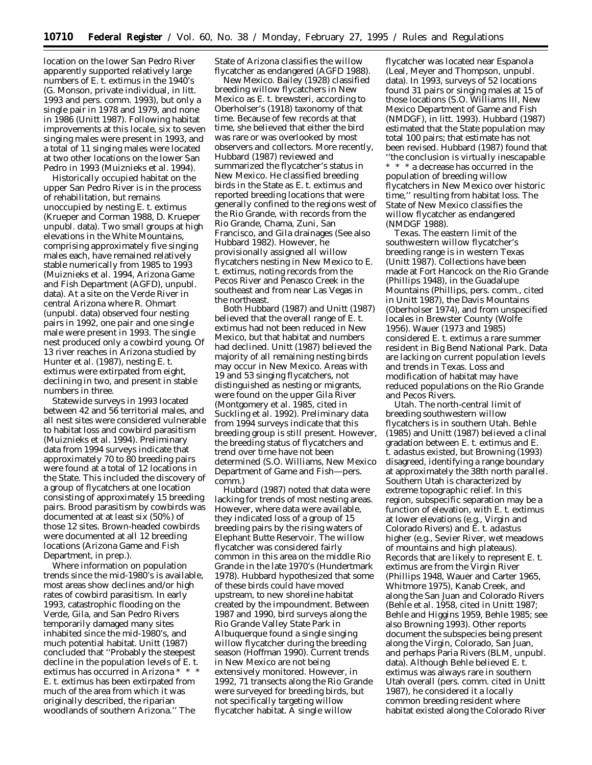location on the lower San Pedro River apparently supported relatively large numbers of *E. t. extimus* in the 1940's (G. Monson, private individual, *in litt.* 1993 and pers. comm. 1993), but only a single pair in 1978 and 1979, and none in 1986 (Unitt 1987). Following habitat improvements at this locale, six to seven singing males were present in 1993, and a total of 11 singing males were located at two other locations on the lower San Pedro in 1993 (Muiznieks *et al.* 1994).

Historically occupied habitat on the upper San Pedro River is in the process of rehabilitation, but remains unoccupied by nesting *E. t. extimus* (Krueper and Corman 1988, D. Krueper unpubl. data). Two small groups at high elevations in the White Mountains, comprising approximately five singing males each, have remained relatively stable numerically from 1985 to 1993 (Muiznieks *et al.* 1994, Arizona Game and Fish Department (AGFD), unpubl. data). At a site on the Verde River in central Arizona where R. Ohmart (unpubl. data) observed four nesting pairs in 1992, one pair and one single male were present in 1993. The single nest produced only a cowbird young. Of 13 river reaches in Arizona studied by Hunter *et al.* (1987), nesting *E. t. extimus* were extirpated from eight, declining in two, and present in stable numbers in three.

Statewide surveys in 1993 located between 42 and 56 territorial males, and all nest sites were considered vulnerable to habitat loss and cowbird parasitism (Muiznieks *et al.* 1994). Preliminary data from 1994 surveys indicate that approximately 70 to 80 breeding pairs were found at a total of 12 locations in the State. This included the discovery of a group of flycatchers at one location consisting of approximately 15 breeding pairs. Brood parasitism by cowbirds was documented at at least six (50%) of those 12 sites. Brown-headed cowbirds were documented at all 12 breeding locations (Arizona Game and Fish Department, *in prep.*).

Where information on population trends since the mid-1980's is available, most areas show declines and/or high rates of cowbird parasitism. In early 1993, catastrophic flooding on the Verde, Gila, and San Pedro Rivers temporarily damaged many sites inhabited since the mid-1980's, and much potential habitat. Unitt (1987) concluded that ''Probably the steepest decline in the population levels of *E. t. extimus* has occurred in Arizona \* \* \* *E. t.* extimus has been extirpated from much of the area from which it was originally described, the riparian woodlands of southern Arizona.'' The

State of Arizona classifies the willow flycatcher as endangered (AGFD 1988).

*New Mexico.* Bailey (1928) classified breeding willow flycatchers in New Mexico as *E. t. brewsteri,* according to Oberholser's (1918) taxonomy of that time. Because of few records at that time, she believed that either the bird was rare or was overlooked by most observers and collectors. More recently, Hubbard (1987) reviewed and summarized the flycatcher's status in New Mexico. He classified breeding birds in the State as *E. t. extimus* and reported breeding locations that were generally confined to the regions west of the Rio Grande, with records from the Rio Grande, Chama, Zuni, San Francisco, and Gila drainages (See also Hubbard 1982). However, he provisionally assigned all willow flycatchers nesting in New Mexico to *E. t. extimus,* noting records from the Pecos River and Penasco Creek in the southeast and from near Las Vegas in the northeast.

Both Hubbard (1987) and Unitt (1987) believed that the overall range of *E. t. extimus* had not been reduced in New Mexico, but that habitat and numbers had declined. Unitt (1987) believed the majority of all remaining nesting birds may occur in New Mexico. Areas with 19 and 53 singing flycatchers, not distinguished as nesting or migrants, were found on the upper Gila River (Montgomery *et al.* 1985, cited in Suckling *et al.* 1992). Preliminary data from 1994 surveys indicate that this breeding group is still present. However, the breeding status of flycatchers and trend over time have not been determined (S.O. Williams, New Mexico Department of Game and Fish—pers. comm.)

Hubbard (1987) noted that data were lacking for trends of most nesting areas. However, where data were available, they indicated loss of a group of 15 breeding pairs by the rising waters of Elephant Butte Reservoir. The willow flycatcher was considered fairly common in this area on the middle Rio Grande in the late 1970's (Hundertmark 1978). Hubbard hypothesized that some of these birds could have moved upstream, to new shoreline habitat created by the impoundment. Between 1987 and 1990, bird surveys along the Rio Grande Valley State Park in Albuquerque found a single singing willow flycatcher during the breeding season (Hoffman 1990). Current trends in New Mexico are not being extensively monitored. However, in 1992, 71 transects along the Rio Grande were surveyed for breeding birds, but not specifically targeting willow flycatcher habitat. A single willow

flycatcher was located near Espanola (Leal, Meyer and Thompson, unpubl. data). In 1993, surveys of 52 locations found 31 pairs or singing males at 15 of those locations (S.O. Williams III, New Mexico Department of Game and Fish (NMDGF), *in litt.* 1993). Hubbard (1987) estimated that the State population may total 100 pairs; that estimate has not been revised. Hubbard (1987) found that ''the conclusion is virtually inescapable  $\hspace{0.1mm}^*$   $\hspace{0.1mm}^*$   $\hspace{0.1mm}^*$  a decrease has occurred in the population of breeding willow flycatchers in New Mexico over historic time,'' resulting from habitat loss. The State of New Mexico classifies the willow flycatcher as endangered (NMDGF 1988).

*Texas.* The eastern limit of the southwestern willow flycatcher's breeding range is in western Texas (Unitt 1987). Collections have been made at Fort Hancock on the Rio Grande (Phillips 1948), in the Guadalupe Mountains (Phillips, pers. comm., cited in Unitt 1987), the Davis Mountains (Oberholser 1974), and from unspecified locales in Brewster County (Wolfe 1956). Wauer (1973 and 1985) considered *E. t. extimus* a rare summer resident in Big Bend National Park. Data are lacking on current population levels and trends in Texas. Loss and modification of habitat may have reduced populations on the Rio Grande and Pecos Rivers.

*Utah.* The north-central limit of breeding southwestern willow flycatchers is in southern Utah. Behle (1985) and Unitt (1987) believed a clinal gradation between *E. t. extimus* and *E. t. adastus* existed, but Browning (1993) disagreed, identifying a range boundary at approximately the 38th north parallel. Southern Utah is characterized by extreme topographic relief. In this region, subspecific separation may be a function of elevation, with *E. t. extimus* at lower elevations (e.g., Virgin and Colorado Rivers) and *E. t. adastus* higher (e.g., Sevier River, wet meadows of mountains and high plateaus). Records that are likely to represent *E. t. extimus* are from the Virgin River (Phillips 1948, Wauer and Carter 1965, Whitmore 1975), Kanab Creek, and along the San Juan and Colorado Rivers (Behle *et al.* 1958, cited in Unitt 1987; Behle and Higgins 1959, Behle 1985; see also Browning 1993). Other reports document the subspecies being present along the Virgin, Colorado, San Juan, and perhaps Paria Rivers (BLM, unpubl. data). Although Behle believed *E. t. extimus* was always rare in southern Utah overall (pers. comm. cited in Unitt 1987), he considered it a locally common breeding resident where habitat existed along the Colorado River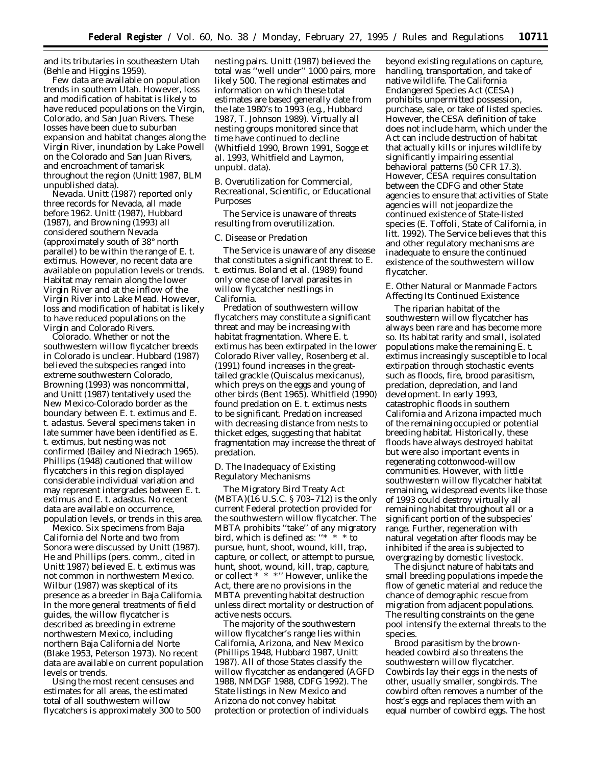and its tributaries in southeastern Utah (Behle and Higgins 1959).

Few data are available on population trends in southern Utah. However, loss and modification of habitat is likely to have reduced populations on the Virgin, Colorado, and San Juan Rivers. These losses have been due to suburban expansion and habitat changes along the Virgin River, inundation by Lake Powell on the Colorado and San Juan Rivers, and encroachment of tamarisk throughout the region (Unitt 1987, BLM unpublished data).

*Nevada.* Unitt (1987) reported only three records for Nevada, all made before 1962. Unitt (1987), Hubbard (1987), and Browning (1993) all considered southern Nevada (approximately south of 38° north parallel) to be within the range of *E. t. extimus.* However, no recent data are available on population levels or trends. Habitat may remain along the lower Virgin River and at the inflow of the Virgin River into Lake Mead. However, loss and modification of habitat is likely to have reduced populations on the Virgin and Colorado Rivers.

*Colorado.* Whether or not the southwestern willow flycatcher breeds in Colorado is unclear. Hubbard (1987) believed the subspecies ranged into extreme southwestern Colorado, Browning (1993) was noncommittal, and Unitt (1987) tentatively used the New Mexico-Colorado border as the boundary between *E. t. extimus* and *E. t. adastus.* Several specimens taken in late summer have been identified as *E. t. extimus,* but nesting was not confirmed (Bailey and Niedrach 1965). Phillips (1948) cautioned that willow flycatchers in this region displayed considerable individual variation and may represent intergrades between *E. t. extimus* and *E. t. adastus.* No recent data are available on occurrence, population levels, or trends in this area.

*Mexico.* Six specimens from Baja California del Norte and two from Sonora were discussed by Unitt (1987). He and Phillips (pers. comm., cited in Unitt 1987) believed *E. t. extimus* was not common in northwestern Mexico. Wilbur (1987) was skeptical of its presence as a breeder in Baja California. In the more general treatments of field guides, the willow flycatcher is described as breeding in extreme northwestern Mexico, including northern Baja California del Norte (Blake 1953, Peterson 1973). No recent data are available on current population levels or trends.

Using the most recent censuses and estimates for all areas, the estimated total of all southwestern willow flycatchers is approximately 300 to 500 nesting pairs. Unitt (1987) believed the total was ''well under'' 1000 pairs, more likely 500. The regional estimates and information on which these total estimates are based generally date from the late 1980's to 1993 (e.g., Hubbard 1987, T. Johnson 1989). Virtually all nesting groups monitored since that time have continued to decline (Whitfield 1990, Brown 1991, Sogge *et al.* 1993, Whitfield and Laymon, unpubl. data).

#### *B. Overutilization for Commercial, Recreational, Scientific, or Educational Purposes*

The Service is unaware of threats resulting from overutilization.

#### *C. Disease or Predation*

The Service is unaware of any disease that constitutes a significant threat to *E. t. extimus.* Boland *et al.* (1989) found only one case of larval parasites in willow flycatcher nestlings in California.

Predation of southwestern willow flycatchers may constitute a significant threat and may be increasing with habitat fragmentation. Where *E. t. extimus* has been extirpated in the lower Colorado River valley, Rosenberg *et al.* (1991) found increases in the greattailed grackle (*Quiscalus mexicanus*), which preys on the eggs and young of other birds (Bent 1965). Whitfield (1990) found predation on *E. t. extimus* nests to be significant. Predation increased with decreasing distance from nests to thicket edges, suggesting that habitat fragmentation may increase the threat of predation.

#### *D. The Inadequacy of Existing Regulatory Mechanisms*

The Migratory Bird Treaty Act (MBTA)(16 U.S.C. § 703–712) is the only current Federal protection provided for the southwestern willow flycatcher. The MBTA prohibits ''take'' of any migratory bird, which is defined as: "\* \* \* to pursue, hunt, shoot, wound, kill, trap, capture, or collect, or attempt to pursue, hunt, shoot, wound, kill, trap, capture, or collect \* \* \*'' However, unlike the Act, there are no provisions in the MBTA preventing habitat destruction unless direct mortality or destruction of active nests occurs.

The majority of the southwestern willow flycatcher's range lies within California, Arizona, and New Mexico (Phillips 1948, Hubbard 1987, Unitt 1987). All of those States classify the willow flycatcher as endangered (AGFD 1988, NMDGF 1988, CDFG 1992). The State listings in New Mexico and Arizona do not convey habitat protection or protection of individuals

beyond existing regulations on capture, handling, transportation, and take of native wildlife. The California Endangered Species Act (CESA) prohibits unpermitted possession, purchase, sale, or take of listed species. However, the CESA definition of take does not include harm, which under the Act can include destruction of habitat that actually kills or injures wildlife by significantly impairing essential behavioral patterns (50 CFR 17.3). However, CESA requires consultation between the CDFG and other State agencies to ensure that activities of State agencies will not jeopardize the continued existence of State-listed species (E. Toffoli, State of California, *in litt.* 1992). The Service believes that this and other regulatory mechanisms are inadequate to ensure the continued existence of the southwestern willow flycatcher.

### *E. Other Natural or Manmade Factors Affecting Its Continued Existence*

The riparian habitat of the southwestern willow flycatcher has always been rare and has become more so. Its habitat rarity and small, isolated populations make the remaining *E. t. extimus* increasingly susceptible to local extirpation through stochastic events such as floods, fire, brood parasitism, predation, depredation, and land development. In early 1993, catastrophic floods in southern California and Arizona impacted much of the remaining occupied or potential breeding habitat. Historically, these floods have always destroyed habitat but were also important events in regenerating cottonwood-willow communities. However, with little southwestern willow flycatcher habitat remaining, widespread events like those of 1993 could destroy virtually all remaining habitat throughout all or a significant portion of the subspecies' range. Further, regeneration with natural vegetation after floods may be inhibited if the area is subjected to overgrazing by domestic livestock.

The disjunct nature of habitats and small breeding populations impede the flow of genetic material and reduce the chance of demographic rescue from migration from adjacent populations. The resulting constraints on the gene pool intensify the external threats to the species.

Brood parasitism by the brownheaded cowbird also threatens the southwestern willow flycatcher. Cowbirds lay their eggs in the nests of other, usually smaller, songbirds. The cowbird often removes a number of the host's eggs and replaces them with an equal number of cowbird eggs. The host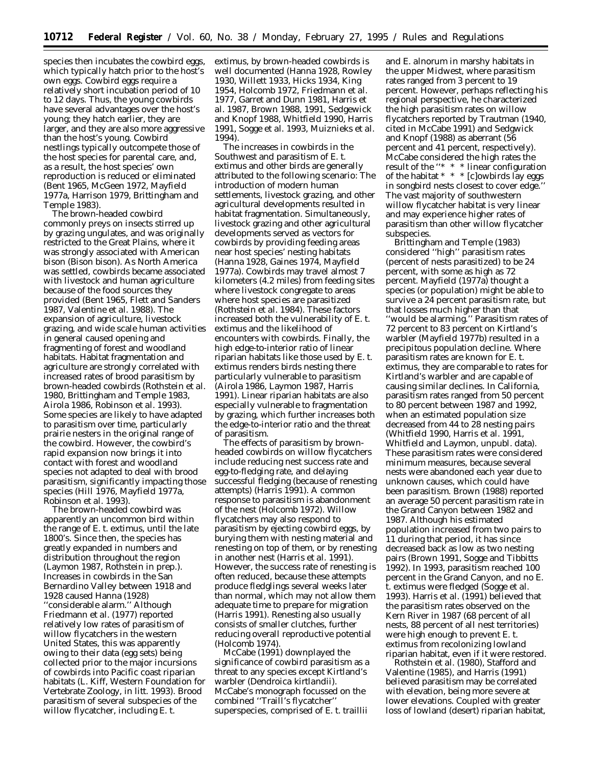species then incubates the cowbird eggs, which typically hatch prior to the host's own eggs. Cowbird eggs require a relatively short incubation period of 10 to 12 days. Thus, the young cowbirds have several advantages over the host's young; they hatch earlier, they are larger, and they are also more aggressive than the host's young. Cowbird nestlings typically outcompete those of the host species for parental care, and, as a result, the host species' own reproduction is reduced or eliminated (Bent 1965, McGeen 1972, Mayfield 1977a, Harrison 1979, Brittingham and Temple 1983).

The brown-headed cowbird commonly preys on insects stirred up by grazing ungulates, and was originally restricted to the Great Plains, where it was strongly associated with American bison (*Bison bison*). As North America was settled, cowbirds became associated with livestock and human agriculture because of the food sources they provided (Bent 1965, Flett and Sanders 1987, Valentine *et al.* 1988). The expansion of agriculture, livestock grazing, and wide scale human activities in general caused opening and fragmenting of forest and woodland habitats. Habitat fragmentation and agriculture are strongly correlated with increased rates of brood parasitism by brown-headed cowbirds (Rothstein *et al.* 1980, Brittingham and Temple 1983, Airola 1986, Robinson *et al.* 1993). Some species are likely to have adapted to parasitism over time, particularly prairie nesters in the original range of the cowbird. However, the cowbird's rapid expansion now brings it into contact with forest and woodland species not adapted to deal with brood parasitism, significantly impacting those species (Hill 1976, Mayfield 1977a, Robinson *et al.* 1993).

The brown-headed cowbird was apparently an uncommon bird within the range of *E. t. extimus,* until the late 1800's. Since then, the species has greatly expanded in numbers and distribution throughout the region (Laymon 1987, Rothstein *in prep*.). Increases in cowbirds in the San Bernardino Valley between 1918 and 1928 caused Hanna (1928) ''considerable alarm.'' Although Friedmann *et al.* (1977) reported relatively low rates of parasitism of willow flycatchers in the western United States, this was apparently owing to their data (egg sets) being collected prior to the major incursions of cowbirds into Pacific coast riparian habitats (L. Kiff, Western Foundation for Vertebrate Zoology, *in litt.* 1993). Brood parasitism of several subspecies of the willow flycatcher, including *E. t.*

*extimus,* by brown-headed cowbirds is well documented (Hanna 1928, Rowley 1930, Willett 1933, Hicks 1934, King 1954, Holcomb 1972, Friedmann *et al.* 1977, Garret and Dunn 1981, Harris *et al.* 1987, Brown 1988, 1991, Sedgewick and Knopf 1988, Whitfield 1990, Harris 1991, Sogge *et al.* 1993, Muiznieks *et al.* 1994).

The increases in cowbirds in the Southwest and parasitism of *E. t. extimus* and other birds are generally attributed to the following scenario: The introduction of modern human settlements, livestock grazing, and other agricultural developments resulted in habitat fragmentation. Simultaneously, livestock grazing and other agricultural developments served as vectors for cowbirds by providing feeding areas near host species' nesting habitats (Hanna 1928, Gaines 1974, Mayfield 1977a). Cowbirds may travel almost 7 kilometers (4.2 miles) from feeding sites where livestock congregate to areas where host species are parasitized (Rothstein *et al.* 1984). These factors increased both the vulnerability of *E. t. extimus* and the likelihood of encounters with cowbirds. Finally, the high edge-to-interior ratio of linear riparian habitats like those used by *E. t. extimus* renders birds nesting there particularly vulnerable to parasitism (Airola 1986, Laymon 1987, Harris 1991). Linear riparian habitats are also especially vulnerable to fragmentation by grazing, which further increases both the edge-to-interior ratio and the threat of parasitism.

The effects of parasitism by brownheaded cowbirds on willow flycatchers include reducing nest success rate and egg-to-fledging rate, and delaying successful fledging (because of renesting attempts) (Harris 1991). A common response to parasitism is abandonment of the nest (Holcomb 1972). Willow flycatchers may also respond to parasitism by ejecting cowbird eggs, by burying them with nesting material and renesting on top of them, or by renesting in another nest (Harris *et al*. 1991). However, the success rate of renesting is often reduced, because these attempts produce fledglings several weeks later than normal, which may not allow them adequate time to prepare for migration (Harris 1991). Renesting also usually consists of smaller clutches, further reducing overall reproductive potential (Holcomb 1974).

McCabe (1991) downplayed the significance of cowbird parasitism as a threat to any species except Kirtland's warbler (*Dendroica kirtlandii*). McCabe's monograph focussed on the combined ''Traill's flycatcher'' superspecies, comprised of *E. t. traillii*

and *E. alnorum* in marshy habitats in the upper Midwest, where parasitism rates ranged from 3 percent to 19 percent. However, perhaps reflecting his regional perspective, he characterized the high parasitism rates on willow flycatchers reported by Trautman (1940, cited in McCabe 1991) and Sedgwick and Knopf (1988) as aberrant (56 percent and 41 percent, respectively). McCabe considered the high rates the result of the ''\* \* \* linear configuration of the habitat  $* * * [c]$ owbirds lay eggs in songbird nests closest to cover edge.'' The vast majority of southwestern willow flycatcher habitat is very linear and may experience higher rates of parasitism than other willow flycatcher subspecies.

Brittingham and Temple (1983) considered ''high'' parasitism rates (percent of nests parasitized) to be 24 percent, with some as high as 72 percent. Mayfield (1977a) thought a species (or population) might be able to survive a 24 percent parasitism rate, but that losses much higher than that ''would be alarming.'' Parasitism rates of 72 percent to 83 percent on Kirtland's warbler (Mayfield 1977b) resulted in a precipitous population decline. Where parasitism rates are known for *E. t. extimus*, they are comparable to rates for Kirtland's warbler and are capable of causing similar declines. In California, parasitism rates ranged from 50 percent to 80 percent between 1987 and 1992, when an estimated population size decreased from 44 to 28 nesting pairs (Whitfield 1990, Harris *et al*. 1991, Whitfield and Laymon, unpubl. data). These parasitism rates were considered minimum measures, because several nests were abandoned each year due to unknown causes, which could have been parasitism. Brown (1988) reported an average 50 percent parasitism rate in the Grand Canyon between 1982 and 1987. Although his estimated population increased from two pairs to 11 during that period, it has since decreased back as low as two nesting pairs (Brown 1991, Sogge and Tibbitts 1992). In 1993, parasitism reached 100 percent in the Grand Canyon, and no *E. t. extimus* were fledged (Sogge *et al*. 1993). Harris *et al*. (1991) believed that the parasitism rates observed on the Kern River in 1987 (68 percent of all nests, 88 percent of all nest territories) were high enough to prevent *E. t. extimus* from recolonizing lowland riparian habitat, even if it were restored.

Rothstein *et al*. (1980), Stafford and Valentine (1985), and Harris (1991) believed parasitism may be correlated with elevation, being more severe at lower elevations. Coupled with greater loss of lowland (desert) riparian habitat,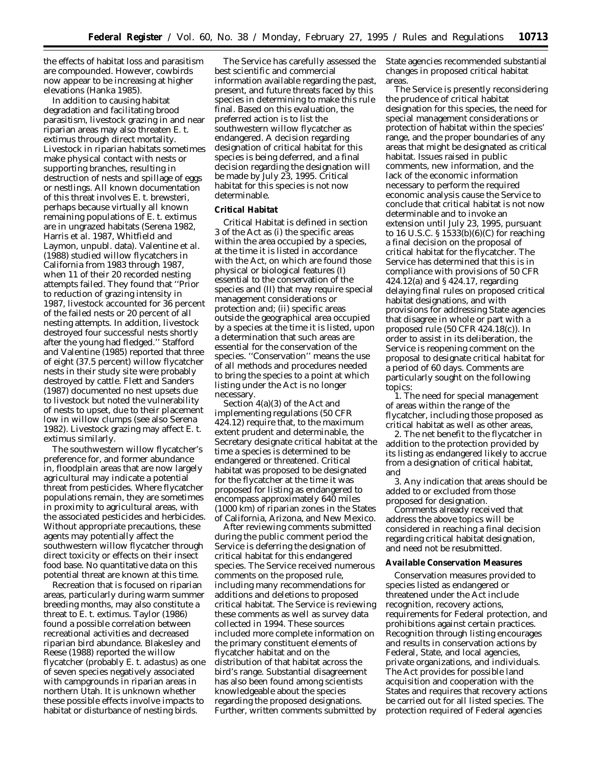the effects of habitat loss and parasitism are compounded. However, cowbirds now appear to be increasing at higher elevations (Hanka 1985).

In addition to causing habitat degradation and facilitating brood parasitism, livestock grazing in and near riparian areas may also threaten *E. t. extimus* through direct mortality. Livestock in riparian habitats sometimes make physical contact with nests or supporting branches, resulting in destruction of nests and spillage of eggs or nestlings. All known documentation of this threat involves *E. t. brewsteri*, perhaps because virtually all known remaining populations of *E. t. extimus* are in ungrazed habitats (Serena 1982, Harris *et al*. 1987, Whitfield and Laymon, unpubl. data). Valentine *et al*. (1988) studied willow flycatchers in California from 1983 through 1987, when 11 of their 20 recorded nesting attempts failed. They found that ''Prior to reduction of grazing intensity in 1987, livestock accounted for 36 percent of the failed nests or 20 percent of all nesting attempts. In addition, livestock destroyed four successful nests shortly after the young had fledged.'' Stafford and Valentine (1985) reported that three of eight (37.5 percent) willow flycatcher nests in their study site were probably destroyed by cattle. Flett and Sanders (1987) documented no nest upsets due to livestock but noted the vulnerability of nests to upset, due to their placement low in willow clumps (see also Serena 1982). Livestock grazing may affect *E. t. extimus* similarly.

The southwestern willow flycatcher's preference for, and former abundance in, floodplain areas that are now largely agricultural may indicate a potential threat from pesticides. Where flycatcher populations remain, they are sometimes in proximity to agricultural areas, with the associated pesticides and herbicides. Without appropriate precautions, these agents may potentially affect the southwestern willow flycatcher through direct toxicity or effects on their insect food base. No quantitative data on this potential threat are known at this time.

Recreation that is focused on riparian areas, particularly during warm summer breeding months, may also constitute a threat to *E. t. extimus*. Taylor (1986) found a possible correlation between recreational activities and decreased riparian bird abundance. Blakesley and Reese (1988) reported the willow flycatcher (probably *E. t. adastus*) as one of seven species negatively associated with campgrounds in riparian areas in northern Utah. It is unknown whether these possible effects involve impacts to habitat or disturbance of nesting birds.

The Service has carefully assessed the best scientific and commercial information available regarding the past, present, and future threats faced by this species in determining to make this rule final. Based on this evaluation, the preferred action is to list the southwestern willow flycatcher as endangered. A decision regarding designation of critical habitat for this species is being deferred, and a final decision regarding the designation will be made by July 23, 1995. Critical habitat for this species is not now determinable.

#### **Critical Habitat**

Critical Habitat is defined in section 3 of the Act as (i) the specific areas within the area occupied by a species, at the time it is listed in accordance with the Act, on which are found those physical or biological features (I) essential to the conservation of the species and (II) that may require special management considerations or protection and; (ii) specific areas outside the geographical area occupied by a species at the time it is listed, upon a determination that such areas are essential for the conservation of the species. ''Conservation'' means the use of all methods and procedures needed to bring the species to a point at which listing under the Act is no longer necessary.

Section 4(a)(3) of the Act and implementing regulations (50 CFR 424.12) require that, to the maximum extent prudent and determinable, the Secretary designate critical habitat at the time a species is determined to be endangered or threatened. Critical habitat was proposed to be designated for the flycatcher at the time it was proposed for listing as endangered to encompass approximately 640 miles (1000 km) of riparian zones in the States of California, Arizona, and New Mexico.

After reviewing comments submitted during the public comment period the Service is deferring the designation of critical habitat for this endangered species. The Service received numerous comments on the proposed rule, including many recommendations for additions and deletions to proposed critical habitat. The Service is reviewing these comments as well as survey data collected in 1994. These sources included more complete information on the primary constituent elements of flycatcher habitat and on the distribution of that habitat across the bird's range. Substantial disagreement has also been found among scientists knowledgeable about the species regarding the proposed designations. Further, written comments submitted by State agencies recommended substantial changes in proposed critical habitat areas.

The Service is presently reconsidering the prudence of critical habitat designation for this species, the need for special management considerations or protection of habitat within the species' range, and the proper boundaries of any areas that might be designated as critical habitat. Issues raised in public comments, new information, and the lack of the economic information necessary to perform the required economic analysis cause the Service to conclude that critical habitat is not now determinable and to invoke an extension until July 23, 1995, pursuant to 16 U.S.C. § 1533(b)(6)(C) for reaching a final decision on the proposal of critical habitat for the flycatcher. The Service has determined that this is in compliance with provisions of 50 CFR 424.12(a) and § 424.17, regarding delaying final rules on proposed critical habitat designations, and with provisions for addressing State agencies that disagree in whole or part with a proposed rule (50 CFR 424.18(c)). In order to assist in its deliberation, the Service is reopening comment on the proposal to designate critical habitat for a period of 60 days. Comments are particularly sought on the following topics:

1. The need for special management of areas within the range of the flycatcher, including those proposed as critical habitat as well as other areas,

2. The net benefit to the flycatcher in addition to the protection provided by its listing as endangered likely to accrue from a designation of critical habitat, and

3. Any indication that areas should be added to or excluded from those proposed for designation.

Comments already received that address the above topics will be considered in reaching a final decision regarding critical habitat designation, and need not be resubmitted.

#### **Available Conservation Measures**

Conservation measures provided to species listed as endangered or threatened under the Act include recognition, recovery actions, requirements for Federal protection, and prohibitions against certain practices. Recognition through listing encourages and results in conservation actions by Federal, State, and local agencies, private organizations, and individuals. The Act provides for possible land acquisition and cooperation with the States and requires that recovery actions be carried out for all listed species. The protection required of Federal agencies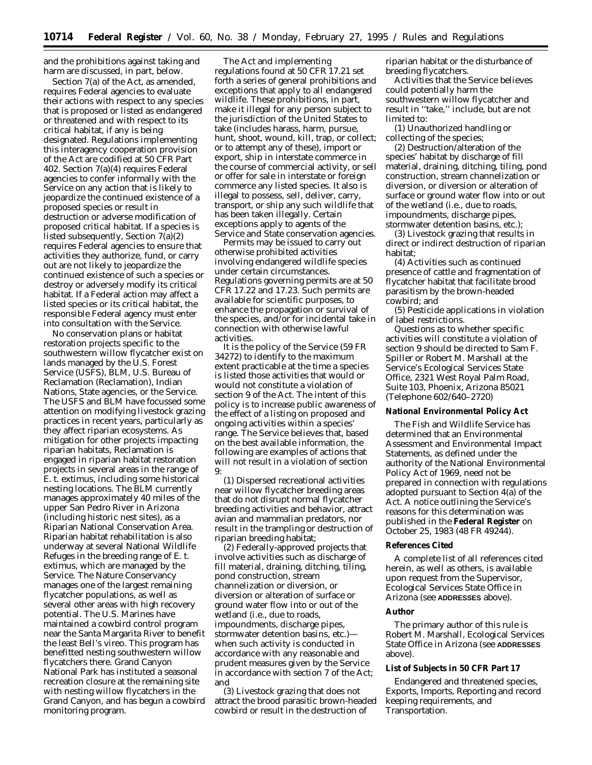and the prohibitions against taking and harm are discussed, in part, below.

Section 7(a) of the Act, as amended, requires Federal agencies to evaluate their actions with respect to any species that is proposed or listed as endangered or threatened and with respect to its critical habitat, if any is being designated. Regulations implementing this interagency cooperation provision of the Act are codified at 50 CFR Part 402. Section 7(a)(4) requires Federal agencies to confer informally with the Service on any action that is likely to jeopardize the continued existence of a proposed species or result in destruction or adverse modification of proposed critical habitat. If a species is listed subsequently, Section 7(a)(2) requires Federal agencies to ensure that activities they authorize, fund, or carry out are not likely to jeopardize the continued existence of such a species or destroy or adversely modify its critical habitat. If a Federal action may affect a listed species or its critical habitat, the responsible Federal agency must enter into consultation with the Service.

No conservation plans or habitat restoration projects specific to the southwestern willow flycatcher exist on lands managed by the U.S. Forest Service (USFS), BLM, U.S. Bureau of Reclamation (Reclamation), Indian Nations, State agencies, or the Service. The USFS and BLM have focussed some attention on modifying livestock grazing practices in recent years, particularly as they affect riparian ecosystems. As mitigation for other projects impacting riparian habitats, Reclamation is engaged in riparian habitat restoration projects in several areas in the range of *E. t. extimus*, including some historical nesting locations. The BLM currently manages approximately 40 miles of the upper San Pedro River in Arizona (including historic nest sites), as a Riparian National Conservation Area. Riparian habitat rehabilitation is also underway at several National Wildlife Refuges in the breeding range of *E. t. extimus*, which are managed by the Service. The Nature Conservancy manages one of the largest remaining flycatcher populations, as well as several other areas with high recovery potential. The U.S. Marines have maintained a cowbird control program near the Santa Margarita River to benefit the least Bell's vireo. This program has benefitted nesting southwestern willow flycatchers there. Grand Canyon National Park has instituted a seasonal recreation closure at the remaining site with nesting willow flycatchers in the Grand Canyon, and has begun a cowbird monitoring program.

The Act and implementing regulations found at 50 CFR 17.21 set forth a series of general prohibitions and exceptions that apply to all endangered wildlife. These prohibitions, in part, make it illegal for any person subject to the jurisdiction of the United States to take (includes harass, harm, pursue, hunt, shoot, wound, kill, trap, or collect; or to attempt any of these), import or export, ship in interstate commerce in the course of commercial activity, or sell or offer for sale in interstate or foreign commerce any listed species. It also is illegal to possess, sell, deliver, carry, transport, or ship any such wildlife that has been taken illegally. Certain exceptions apply to agents of the Service and State conservation agencies.

Permits may be issued to carry out otherwise prohibited activities involving endangered wildlife species under certain circumstances. Regulations governing permits are at 50 CFR 17.22 and 17.23. Such permits are available for scientific purposes, to enhance the propagation or survival of the species, and/or for incidental take in connection with otherwise lawful activities.

It is the policy of the Service (59 FR 34272) to identify to the maximum extent practicable at the time a species is listed those activities that would or would not constitute a violation of section 9 of the Act. The intent of this policy is to increase public awareness of the effect of a listing on proposed and ongoing activities within a species' range. The Service believes that, based on the best available information, the following are examples of actions that will not result in a violation of section 9:

(1) Dispersed recreational activities near willow flycatcher breeding areas that do not disrupt normal flycatcher breeding activities and behavior, attract avian and mammalian predators, nor result in the trampling or destruction of riparian breeding habitat;

(2) Federally-approved projects that involve activities such as discharge of fill material, draining, ditching, tiling, pond construction, stream channelization or diversion, or diversion or alteration of surface or ground water flow into or out of the wetland (i.e., due to roads, impoundments, discharge pipes, stormwater detention basins, etc.) when such activity is conducted in accordance with any reasonable and prudent measures given by the Service in accordance with section 7 of the Act; and

(3) Livestock grazing that does not attract the brood parasitic brown-headed cowbird or result in the destruction of

riparian habitat or the disturbance of breeding flycatchers.

Activities that the Service believes could potentially harm the southwestern willow flycatcher and result in ''take,'' include, but are not limited to:

(1) Unauthorized handling or collecting of the species;

(2) Destruction/alteration of the species' habitat by discharge of fill material, draining, ditching, tiling, pond construction, stream channelization or diversion, or diversion or alteration of surface or ground water flow into or out of the wetland (i.e., due to roads, impoundments, discharge pipes, stormwater detention basins, etc.);

(3) Livestock grazing that results in direct or indirect destruction of riparian habitat;

(4) Activities such as continued presence of cattle and fragmentation of flycatcher habitat that facilitate brood parasitism by the brown-headed cowbird; and

(5) Pesticide applications in violation of label restrictions.

Questions as to whether specific activities will constitute a violation of section 9 should be directed to Sam F. Spiller or Robert M. Marshall at the Service's Ecological Services State Office, 2321 West Royal Palm Road, Suite 103, Phoenix, Arizona 85021 (Telephone 602/640–2720)

#### **National Environmental Policy Act**

The Fish and Wildlife Service has determined that an Environmental Assessment and Environmental Impact Statements, as defined under the authority of the National Environmental Policy Act of 1969, need not be prepared in connection with regulations adopted pursuant to Section 4(a) of the Act. A notice outlining the Service's reasons for this determination was published in the **Federal Register** on October 25, 1983 (48 FR 49244).

#### **References Cited**

A complete list of all references cited herein, as well as others, is available upon request from the Supervisor, Ecological Services State Office in Arizona (see **ADDRESSES** above).

#### **Author**

The primary author of this rule is Robert M. Marshall, Ecological Services State Office in Arizona (see **ADDRESSES** above).

#### **List of Subjects in 50 CFR Part 17**

Endangered and threatened species, Exports, Imports, Reporting and record keeping requirements, and Transportation.